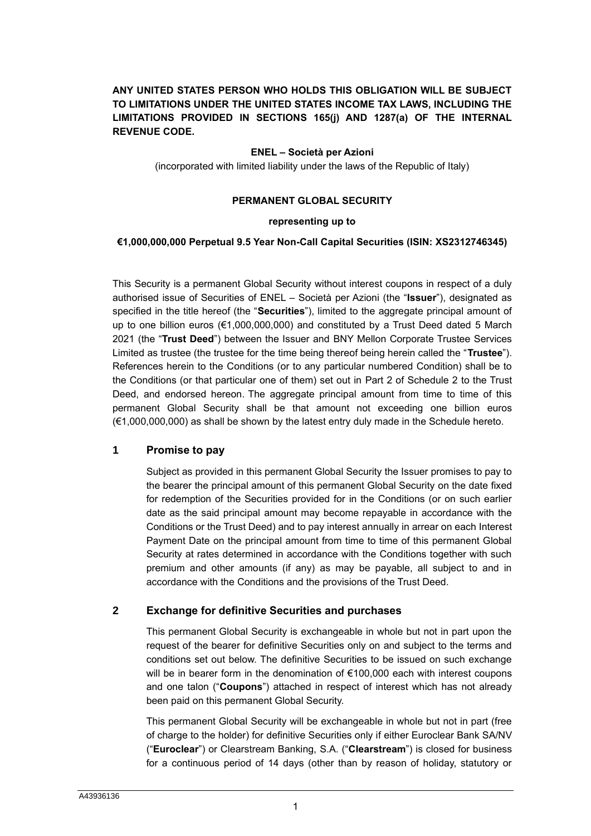# **ANY UNITED STATES PERSON WHO HOLDS THIS OBLIGATION WILL BE SUBJECT TO LIMITATIONS UNDER THE UNITED STATES INCOME TAX LAWS, INCLUDING THE LIMITATIONS PROVIDED IN SECTIONS 165(j) AND 1287(a) OF THE INTERNAL REVENUE CODE.**

# **ENEL – Società per Azioni**

(incorporated with limited liability under the laws of the Republic of Italy)

## **PERMANENT GLOBAL SECURITY**

## **representing up to**

#### **€1,000,000,000 Perpetual 9.5 Year Non-Call Capital Securities (ISIN: XS2312746345)**

This Security is a permanent Global Security without interest coupons in respect of a duly authorised issue of Securities of ENEL – Società per Azioni (the "**Issuer**"), designated as specified in the title hereof (the "**Securities**"), limited to the aggregate principal amount of up to one billion euros (€1,000,000,000) and constituted by a Trust Deed dated 5 March 2021 (the "**Trust Deed**") between the Issuer and BNY Mellon Corporate Trustee Services Limited as trustee (the trustee for the time being thereof being herein called the "**Trustee**"). References herein to the Conditions (or to any particular numbered Condition) shall be to the Conditions (or that particular one of them) set out in Part 2 of Schedule 2 to the Trust Deed, and endorsed hereon. The aggregate principal amount from time to time of this permanent Global Security shall be that amount not exceeding one billion euros (€1,000,000,000) as shall be shown by the latest entry duly made in the Schedule hereto.

# **1 Promise to pay**

Subject as provided in this permanent Global Security the Issuer promises to pay to the bearer the principal amount of this permanent Global Security on the date fixed for redemption of the Securities provided for in the Conditions (or on such earlier date as the said principal amount may become repayable in accordance with the Conditions or the Trust Deed) and to pay interest annually in arrear on each Interest Payment Date on the principal amount from time to time of this permanent Global Security at rates determined in accordance with the Conditions together with such premium and other amounts (if any) as may be payable, all subject to and in accordance with the Conditions and the provisions of the Trust Deed.

# **2 Exchange for definitive Securities and purchases**

This permanent Global Security is exchangeable in whole but not in part upon the request of the bearer for definitive Securities only on and subject to the terms and conditions set out below. The definitive Securities to be issued on such exchange will be in bearer form in the denomination of €100,000 each with interest coupons and one talon ("**Coupons**") attached in respect of interest which has not already been paid on this permanent Global Security.

This permanent Global Security will be exchangeable in whole but not in part (free of charge to the holder) for definitive Securities only if either Euroclear Bank SA/NV ("**Euroclear**") or Clearstream Banking, S.A. ("**Clearstream**") is closed for business for a continuous period of 14 days (other than by reason of holiday, statutory or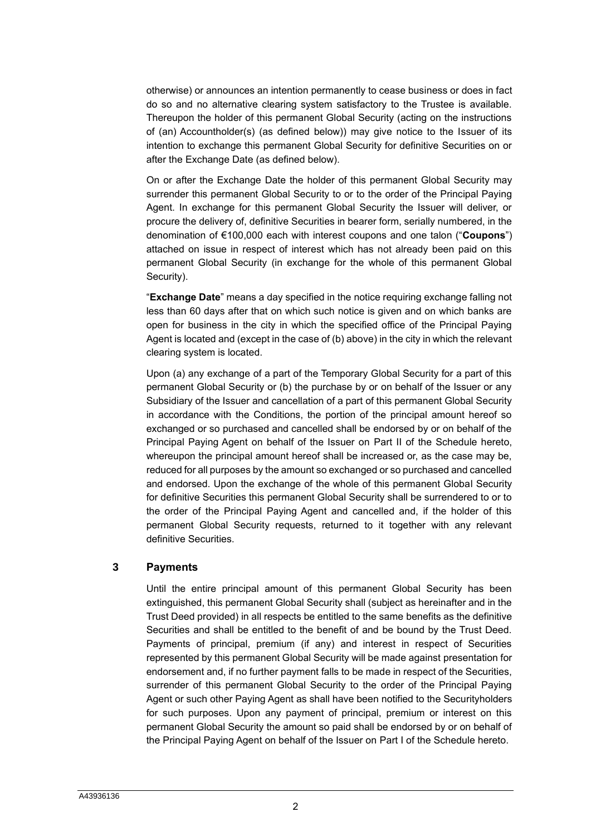otherwise) or announces an intention permanently to cease business or does in fact do so and no alternative clearing system satisfactory to the Trustee is available. Thereupon the holder of this permanent Global Security (acting on the instructions of (an) Accountholder(s) (as defined below)) may give notice to the Issuer of its intention to exchange this permanent Global Security for definitive Securities on or after the Exchange Date (as defined below).

On or after the Exchange Date the holder of this permanent Global Security may surrender this permanent Global Security to or to the order of the Principal Paying Agent. In exchange for this permanent Global Security the Issuer will deliver, or procure the delivery of, definitive Securities in bearer form, serially numbered, in the denomination of €100,000 each with interest coupons and one talon ("**Coupons**") attached on issue in respect of interest which has not already been paid on this permanent Global Security (in exchange for the whole of this permanent Global Security).

"**Exchange Date**" means a day specified in the notice requiring exchange falling not less than 60 days after that on which such notice is given and on which banks are open for business in the city in which the specified office of the Principal Paying Agent is located and (except in the case of (b) above) in the city in which the relevant clearing system is located.

Upon (a) any exchange of a part of the Temporary Global Security for a part of this permanent Global Security or (b) the purchase by or on behalf of the Issuer or any Subsidiary of the Issuer and cancellation of a part of this permanent Global Security in accordance with the Conditions, the portion of the principal amount hereof so exchanged or so purchased and cancelled shall be endorsed by or on behalf of the Principal Paying Agent on behalf of the Issuer on [Part II](#page-6-0) of the Schedule hereto, whereupon the principal amount hereof shall be increased or, as the case may be, reduced for all purposes by the amount so exchanged or so purchased and cancelled and endorsed. Upon the exchange of the whole of this permanent Global Security for definitive Securities this permanent Global Security shall be surrendered to or to the order of the Principal Paying Agent and cancelled and, if the holder of this permanent Global Security requests, returned to it together with any relevant definitive Securities.

# **3 Payments**

Until the entire principal amount of this permanent Global Security has been extinguished, this permanent Global Security shall (subject as hereinafter and in the Trust Deed provided) in all respects be entitled to the same benefits as the definitive Securities and shall be entitled to the benefit of and be bound by the Trust Deed. Payments of principal, premium (if any) and interest in respect of Securities represented by this permanent Global Security will be made against presentation for endorsement and, if no further payment falls to be made in respect of the Securities, surrender of this permanent Global Security to the order of the Principal Paying Agent or such other Paying Agent as shall have been notified to the Securityholders for such purposes. Upon any payment of principal, premium or interest on this permanent Global Security the amount so paid shall be endorsed by or on behalf of the Principal Paying Agent on behalf of the Issuer on [Part I](#page-5-0) of the Schedule hereto.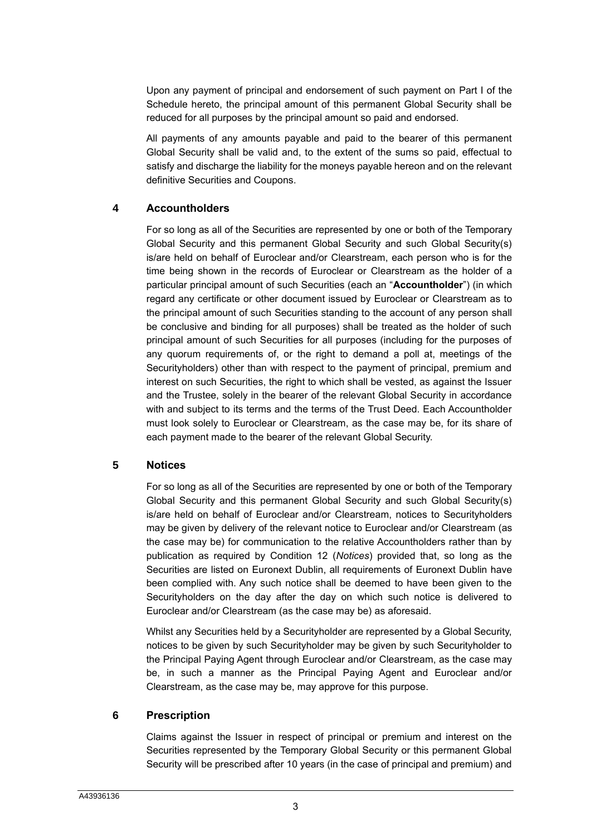Upon any payment of principal and endorsement of such payment on [Part I](#page-5-0) of the Schedule hereto, the principal amount of this permanent Global Security shall be reduced for all purposes by the principal amount so paid and endorsed.

All payments of any amounts payable and paid to the bearer of this permanent Global Security shall be valid and, to the extent of the sums so paid, effectual to satisfy and discharge the liability for the moneys payable hereon and on the relevant definitive Securities and Coupons.

# **4 Accountholders**

For so long as all of the Securities are represented by one or both of the Temporary Global Security and this permanent Global Security and such Global Security(s) is/are held on behalf of Euroclear and/or Clearstream, each person who is for the time being shown in the records of Euroclear or Clearstream as the holder of a particular principal amount of such Securities (each an "**Accountholder**") (in which regard any certificate or other document issued by Euroclear or Clearstream as to the principal amount of such Securities standing to the account of any person shall be conclusive and binding for all purposes) shall be treated as the holder of such principal amount of such Securities for all purposes (including for the purposes of any quorum requirements of, or the right to demand a poll at, meetings of the Securityholders) other than with respect to the payment of principal, premium and interest on such Securities, the right to which shall be vested, as against the Issuer and the Trustee, solely in the bearer of the relevant Global Security in accordance with and subject to its terms and the terms of the Trust Deed. Each Accountholder must look solely to Euroclear or Clearstream, as the case may be, for its share of each payment made to the bearer of the relevant Global Security.

# **5 Notices**

For so long as all of the Securities are represented by one or both of the Temporary Global Security and this permanent Global Security and such Global Security(s) is/are held on behalf of Euroclear and/or Clearstream, notices to Securityholders may be given by delivery of the relevant notice to Euroclear and/or Clearstream (as the case may be) for communication to the relative Accountholders rather than by publication as required by Condition 12 (*Notices*) provided that, so long as the Securities are listed on Euronext Dublin, all requirements of Euronext Dublin have been complied with. Any such notice shall be deemed to have been given to the Securityholders on the day after the day on which such notice is delivered to Euroclear and/or Clearstream (as the case may be) as aforesaid.

Whilst any Securities held by a Securityholder are represented by a Global Security, notices to be given by such Securityholder may be given by such Securityholder to the Principal Paying Agent through Euroclear and/or Clearstream, as the case may be, in such a manner as the Principal Paying Agent and Euroclear and/or Clearstream, as the case may be, may approve for this purpose.

# **6 Prescription**

Claims against the Issuer in respect of principal or premium and interest on the Securities represented by the Temporary Global Security or this permanent Global Security will be prescribed after 10 years (in the case of principal and premium) and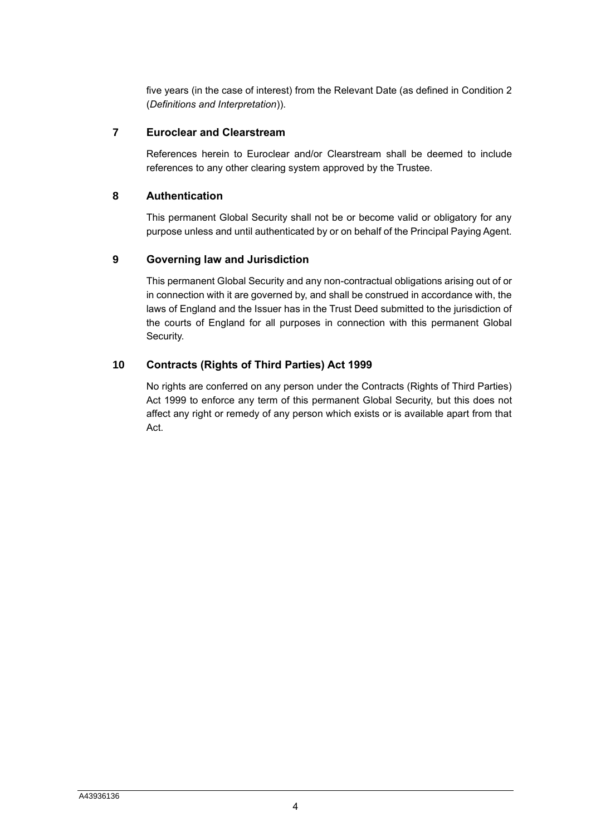five years (in the case of interest) from the Relevant Date (as defined in Condition 2 (*Definitions and Interpretation*)).

# **7 Euroclear and Clearstream**

References herein to Euroclear and/or Clearstream shall be deemed to include references to any other clearing system approved by the Trustee.

# **8 Authentication**

This permanent Global Security shall not be or become valid or obligatory for any purpose unless and until authenticated by or on behalf of the Principal Paying Agent.

# **9 Governing law and Jurisdiction**

This permanent Global Security and any non-contractual obligations arising out of or in connection with it are governed by, and shall be construed in accordance with, the laws of England and the Issuer has in the Trust Deed submitted to the jurisdiction of the courts of England for all purposes in connection with this permanent Global Security.

# **10 Contracts (Rights of Third Parties) Act 1999**

No rights are conferred on any person under the Contracts (Rights of Third Parties) Act 1999 to enforce any term of this permanent Global Security, but this does not affect any right or remedy of any person which exists or is available apart from that Act.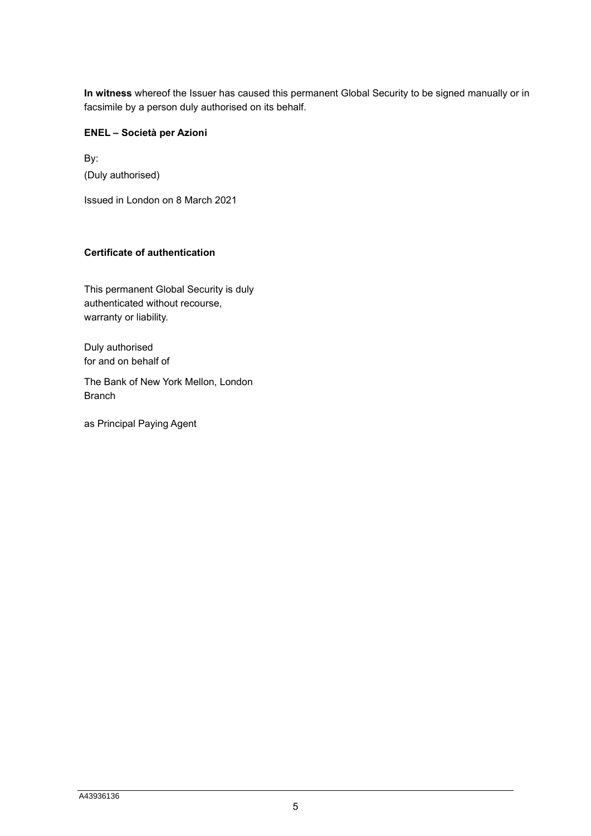**In witness** whereof the Issuer has caused this permanent Global Security to be signed manually or in facsimile by a person duly authorised on its behalf.

# **ENEL – Società per Azioni**

By: (Duly authorised)

Issued in London on 8 March 2021

# **Certificate of authentication**

This permanent Global Security is duly authenticated without recourse, warranty or liability.

Duly authorised for and on behalf of

The Bank of New York Mellon, London Branch

as Principal Paying Agent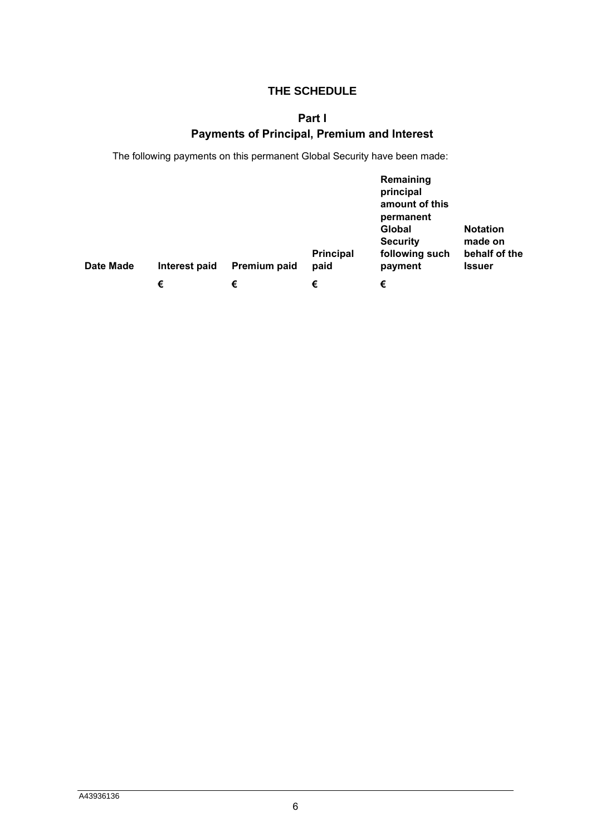# **THE SCHEDULE**

# **Part I**

# **Payments of Principal, Premium and Interest**

<span id="page-5-0"></span>The following payments on this permanent Global Security have been made:

| Date Made | Interest paid | Premium paid | <b>Principal</b><br>paid | Remaining<br>principal<br>amount of this<br>permanent<br>Global<br><b>Security</b><br>following such<br>payment | <b>Notation</b><br>made on<br>behalf of the<br><b>Issuer</b> |
|-----------|---------------|--------------|--------------------------|-----------------------------------------------------------------------------------------------------------------|--------------------------------------------------------------|
|           | €             | €            | €                        | €                                                                                                               |                                                              |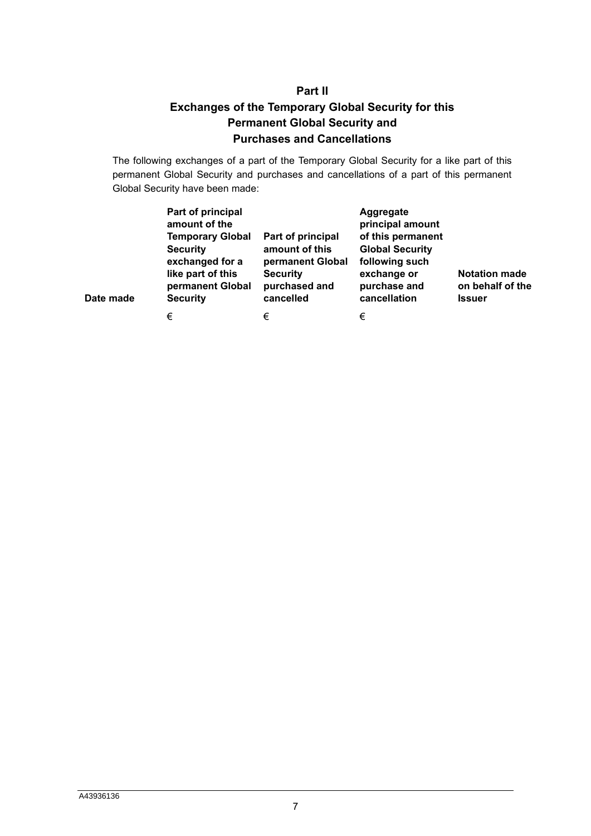# **Part II Exchanges of the Temporary Global Security for this Permanent Global Security and Purchases and Cancellations**

<span id="page-6-0"></span>The following exchanges of a part of the Temporary Global Security for a like part of this permanent Global Security and purchases and cancellations of a part of this permanent Global Security have been made:

| Date made | Part of principal<br>amount of the<br><b>Temporary Global</b><br><b>Security</b><br>exchanged for a<br>like part of this<br>permanent Global<br><b>Security</b> | Part of principal<br>amount of this<br>permanent Global<br><b>Security</b><br>purchased and<br>cancelled | Aggregate<br>principal amount<br>of this permanent<br><b>Global Security</b><br>following such<br>exchange or<br>purchase and<br>cancellation | <b>Notation made</b><br>on behalf of the<br><b>Issuer</b> |
|-----------|-----------------------------------------------------------------------------------------------------------------------------------------------------------------|----------------------------------------------------------------------------------------------------------|-----------------------------------------------------------------------------------------------------------------------------------------------|-----------------------------------------------------------|
|           | €                                                                                                                                                               | €                                                                                                        | €                                                                                                                                             |                                                           |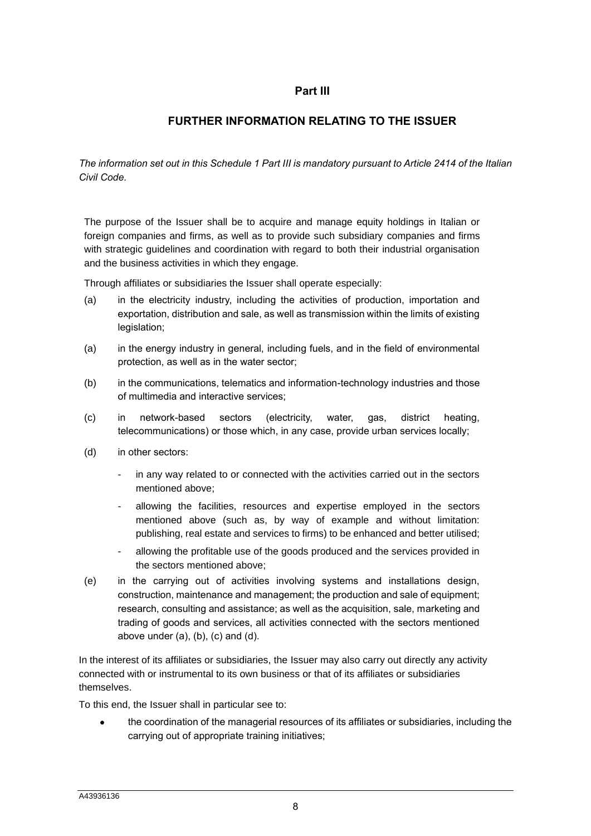# **Part III**

# **FURTHER INFORMATION RELATING TO THE ISSUER**

*The information set out in this Schedule 1 Part III is mandatory pursuant to Article 2414 of the Italian Civil Code.*

The purpose of the Issuer shall be to acquire and manage equity holdings in Italian or foreign companies and firms, as well as to provide such subsidiary companies and firms with strategic guidelines and coordination with regard to both their industrial organisation and the business activities in which they engage.

Through affiliates or subsidiaries the Issuer shall operate especially:

- (a) in the electricity industry, including the activities of production, importation and exportation, distribution and sale, as well as transmission within the limits of existing legislation;
- (a) in the energy industry in general, including fuels, and in the field of environmental protection, as well as in the water sector;
- (b) in the communications, telematics and information-technology industries and those of multimedia and interactive services;
- (c) in network-based sectors (electricity, water, gas, district heating, telecommunications) or those which, in any case, provide urban services locally;
- (d) in other sectors:
	- in any way related to or connected with the activities carried out in the sectors mentioned above;
	- allowing the facilities, resources and expertise employed in the sectors mentioned above (such as, by way of example and without limitation: publishing, real estate and services to firms) to be enhanced and better utilised;
	- allowing the profitable use of the goods produced and the services provided in the sectors mentioned above;
- (e) in the carrying out of activities involving systems and installations design, construction, maintenance and management; the production and sale of equipment; research, consulting and assistance; as well as the acquisition, sale, marketing and trading of goods and services, all activities connected with the sectors mentioned above under  $(a)$ ,  $(b)$ ,  $(c)$  and  $(d)$ .

In the interest of its affiliates or subsidiaries, the Issuer may also carry out directly any activity connected with or instrumental to its own business or that of its affiliates or subsidiaries themselves.

To this end, the Issuer shall in particular see to:

• the coordination of the managerial resources of its affiliates or subsidiaries, including the carrying out of appropriate training initiatives;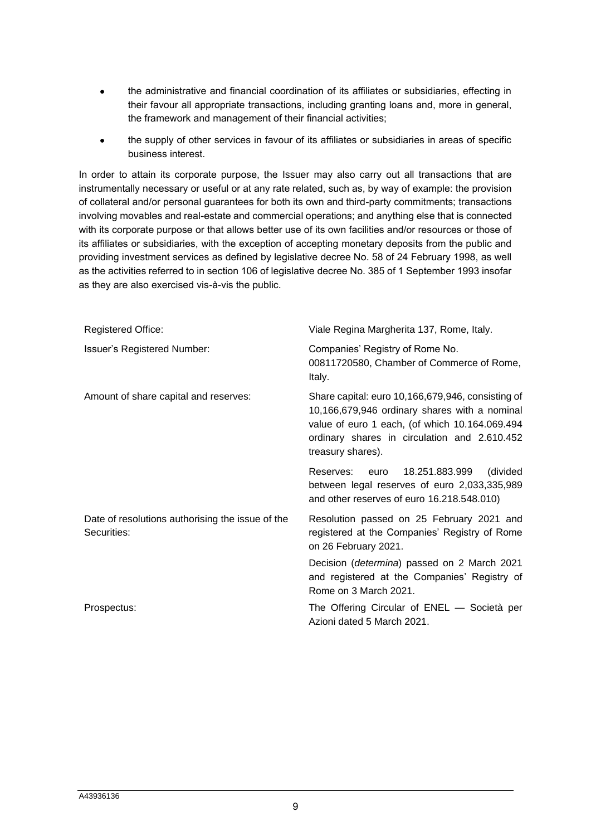- the administrative and financial coordination of its affiliates or subsidiaries, effecting in their favour all appropriate transactions, including granting loans and, more in general, the framework and management of their financial activities;
- the supply of other services in favour of its affiliates or subsidiaries in areas of specific business interest.

In order to attain its corporate purpose, the Issuer may also carry out all transactions that are instrumentally necessary or useful or at any rate related, such as, by way of example: the provision of collateral and/or personal guarantees for both its own and third-party commitments; transactions involving movables and real-estate and commercial operations; and anything else that is connected with its corporate purpose or that allows better use of its own facilities and/or resources or those of its affiliates or subsidiaries, with the exception of accepting monetary deposits from the public and providing investment services as defined by legislative decree No. 58 of 24 February 1998, as well as the activities referred to in section 106 of legislative decree No. 385 of 1 September 1993 insofar as they are also exercised vis-à-vis the public.

| <b>Registered Office:</b>                                       | Viale Regina Margherita 137, Rome, Italy.                                                                                                                                                                                 |  |  |
|-----------------------------------------------------------------|---------------------------------------------------------------------------------------------------------------------------------------------------------------------------------------------------------------------------|--|--|
| <b>Issuer's Registered Number:</b>                              | Companies' Registry of Rome No.<br>00811720580, Chamber of Commerce of Rome,<br>Italy.                                                                                                                                    |  |  |
| Amount of share capital and reserves:                           | Share capital: euro 10,166,679,946, consisting of<br>10,166,679,946 ordinary shares with a nominal<br>value of euro 1 each, (of which 10.164.069.494<br>ordinary shares in circulation and 2.610.452<br>treasury shares). |  |  |
|                                                                 | 18.251.883.999<br>(divided<br>Reserves: euro<br>between legal reserves of euro 2,033,335,989<br>and other reserves of euro 16.218.548.010)                                                                                |  |  |
| Date of resolutions authorising the issue of the<br>Securities: | Resolution passed on 25 February 2021 and<br>registered at the Companies' Registry of Rome<br>on 26 February 2021.                                                                                                        |  |  |
|                                                                 | Decision ( <i>determina</i> ) passed on 2 March 2021<br>and registered at the Companies' Registry of<br>Rome on 3 March 2021.                                                                                             |  |  |
| Prospectus:                                                     | The Offering Circular of ENEL - Società per<br>Azioni dated 5 March 2021.                                                                                                                                                 |  |  |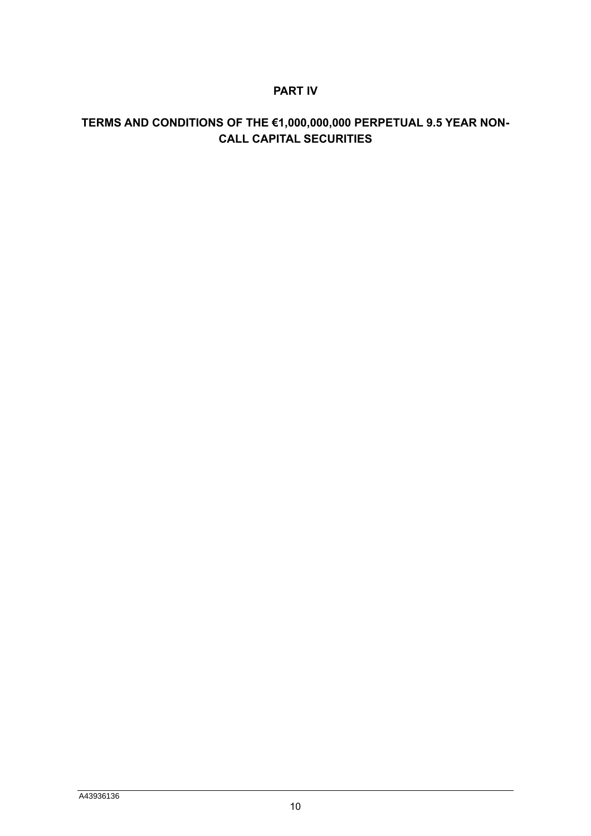# **PART IV**

# **TERMS AND CONDITIONS OF THE €1,000,000,000 PERPETUAL 9.5 YEAR NON-CALL CAPITAL SECURITIES**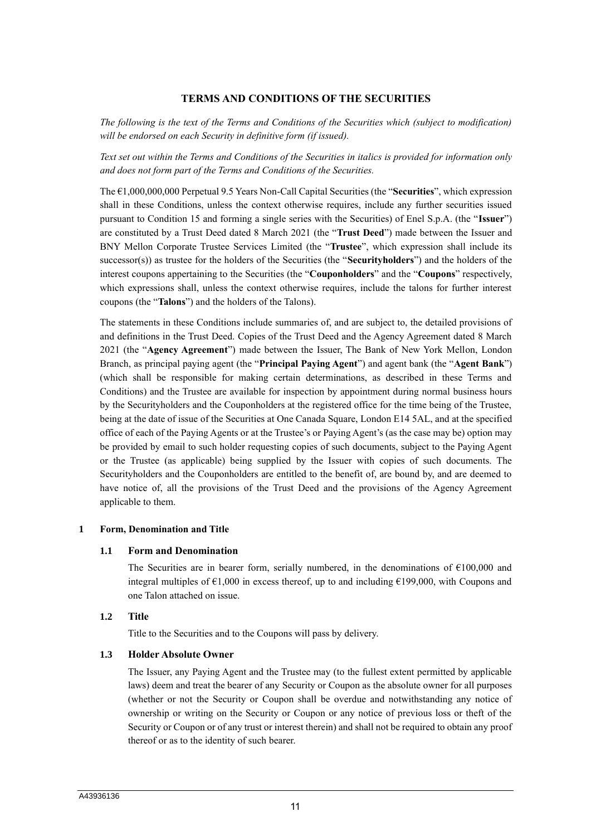# **TERMS AND CONDITIONS OF THE SECURITIES**

*The following is the text of the Terms and Conditions of the Securities which (subject to modification) will be endorsed on each Security in definitive form (if issued).* 

*Text set out within the Terms and Conditions of the Securities in italics is provided for information only and does not form part of the Terms and Conditions of the Securities.*

The €1,000,000,000 Perpetual 9.5 Years Non-Call Capital Securities (the "**Securities**", which expression shall in these Conditions, unless the context otherwise requires, include any further securities issued pursuant to Condition 15 and forming a single series with the Securities) of Enel S.p.A. (the "**Issuer**") are constituted by a Trust Deed dated 8 March 2021 (the "**Trust Deed**") made between the Issuer and BNY Mellon Corporate Trustee Services Limited (the "**Trustee**", which expression shall include its successor(s)) as trustee for the holders of the Securities (the "**Securityholders**") and the holders of the interest coupons appertaining to the Securities (the "**Couponholders**" and the "**Coupons**" respectively, which expressions shall, unless the context otherwise requires, include the talons for further interest coupons (the "**Talons**") and the holders of the Talons).

The statements in these Conditions include summaries of, and are subject to, the detailed provisions of and definitions in the Trust Deed. Copies of the Trust Deed and the Agency Agreement dated 8 March 2021 (the "**Agency Agreement**") made between the Issuer, The Bank of New York Mellon, London Branch, as principal paying agent (the "**Principal Paying Agent**") and agent bank (the "**Agent Bank**") (which shall be responsible for making certain determinations, as described in these Terms and Conditions) and the Trustee are available for inspection by appointment during normal business hours by the Securityholders and the Couponholders at the registered office for the time being of the Trustee, being at the date of issue of the Securities at One Canada Square, London E14 5AL, and at the specified office of each of the Paying Agents or at the Trustee's or Paying Agent's (as the case may be) option may be provided by email to such holder requesting copies of such documents, subject to the Paying Agent or the Trustee (as applicable) being supplied by the Issuer with copies of such documents. The Securityholders and the Couponholders are entitled to the benefit of, are bound by, and are deemed to have notice of, all the provisions of the Trust Deed and the provisions of the Agency Agreement applicable to them.

#### **1 Form, Denomination and Title**

#### **1.1 Form and Denomination**

The Securities are in bearer form, serially numbered, in the denominations of  $\epsilon$ 100,000 and integral multiples of  $\epsilon$ 1,000 in excess thereof, up to and including  $\epsilon$ 199,000, with Coupons and one Talon attached on issue.

#### **1.2 Title**

Title to the Securities and to the Coupons will pass by delivery.

#### **1.3 Holder Absolute Owner**

The Issuer, any Paying Agent and the Trustee may (to the fullest extent permitted by applicable laws) deem and treat the bearer of any Security or Coupon as the absolute owner for all purposes (whether or not the Security or Coupon shall be overdue and notwithstanding any notice of ownership or writing on the Security or Coupon or any notice of previous loss or theft of the Security or Coupon or of any trust or interest therein) and shall not be required to obtain any proof thereof or as to the identity of such bearer.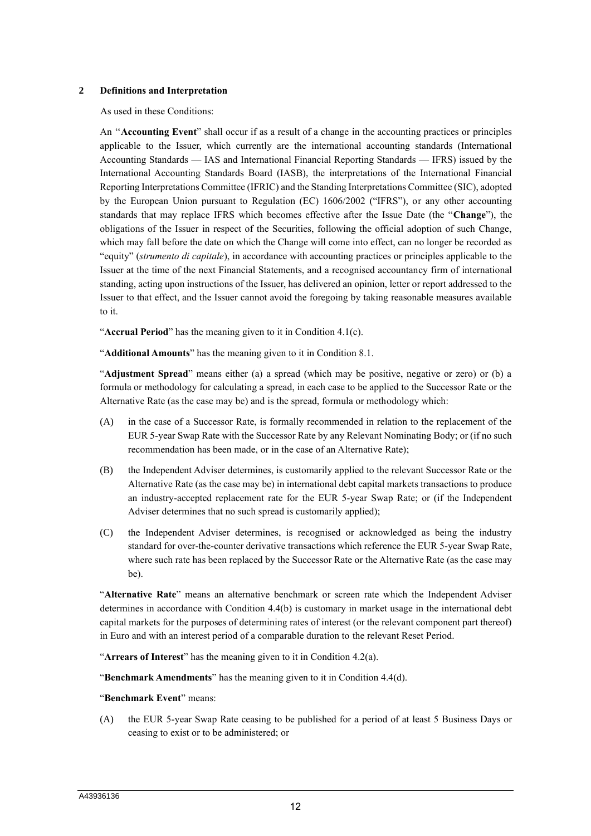#### **2 Definitions and Interpretation**

As used in these Conditions:

An ''**Accounting Event**" shall occur if as a result of a change in the accounting practices or principles applicable to the Issuer, which currently are the international accounting standards (International Accounting Standards — IAS and International Financial Reporting Standards — IFRS) issued by the International Accounting Standards Board (IASB), the interpretations of the International Financial Reporting Interpretations Committee (IFRIC) and the Standing Interpretations Committee (SIC), adopted by the European Union pursuant to Regulation (EC) 1606/2002 ("IFRS"), or any other accounting standards that may replace IFRS which becomes effective after the Issue Date (the "**Change**"), the obligations of the Issuer in respect of the Securities, following the official adoption of such Change, which may fall before the date on which the Change will come into effect, can no longer be recorded as "equity" (*strumento di capitale*), in accordance with accounting practices or principles applicable to the Issuer at the time of the next Financial Statements, and a recognised accountancy firm of international standing, acting upon instructions of the Issuer, has delivered an opinion, letter or report addressed to the Issuer to that effect, and the Issuer cannot avoid the foregoing by taking reasonable measures available to it.

"**Accrual Period**" has the meaning given to it in Condition 4.1(c).

"**Additional Amounts**" has the meaning given to it in Condition 8.1.

"**Adjustment Spread**" means either (a) a spread (which may be positive, negative or zero) or (b) a formula or methodology for calculating a spread, in each case to be applied to the Successor Rate or the Alternative Rate (as the case may be) and is the spread, formula or methodology which:

- (A) in the case of a Successor Rate, is formally recommended in relation to the replacement of the EUR 5-year Swap Rate with the Successor Rate by any Relevant Nominating Body; or (if no such recommendation has been made, or in the case of an Alternative Rate);
- (B) the Independent Adviser determines, is customarily applied to the relevant Successor Rate or the Alternative Rate (as the case may be) in international debt capital markets transactions to produce an industry-accepted replacement rate for the EUR 5-year Swap Rate; or (if the Independent Adviser determines that no such spread is customarily applied);
- (C) the Independent Adviser determines, is recognised or acknowledged as being the industry standard for over-the-counter derivative transactions which reference the EUR 5-year Swap Rate, where such rate has been replaced by the Successor Rate or the Alternative Rate (as the case may be).

"**Alternative Rate**" means an alternative benchmark or screen rate which the Independent Adviser determines in accordance with Condition 4.4(b) is customary in market usage in the international debt capital markets for the purposes of determining rates of interest (or the relevant component part thereof) in Euro and with an interest period of a comparable duration to the relevant Reset Period.

"**Arrears of Interest**" has the meaning given to it in Condition 4.2(a).

"**Benchmark Amendments**" has the meaning given to it in Condition 4.4(d).

#### "**Benchmark Event**" means:

(A) the EUR 5-year Swap Rate ceasing to be published for a period of at least 5 Business Days or ceasing to exist or to be administered; or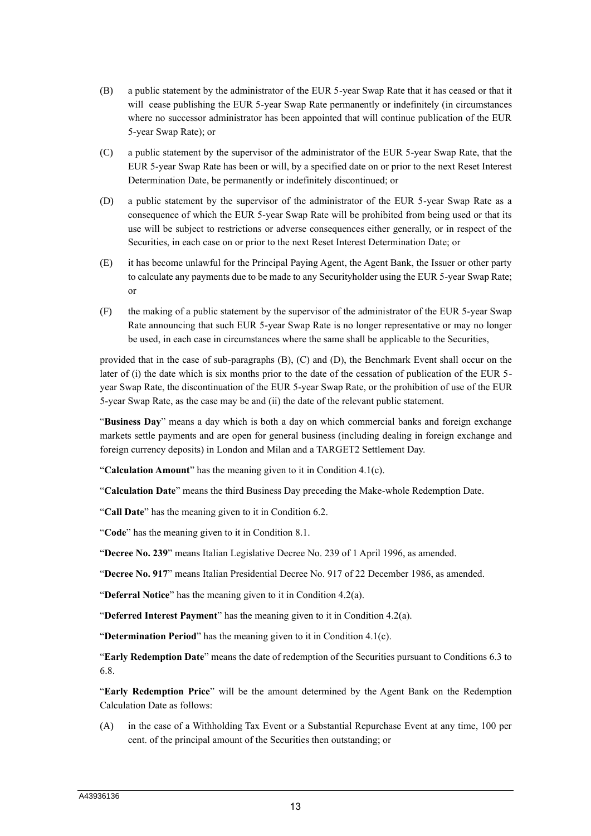- (B) a public statement by the administrator of the EUR 5-year Swap Rate that it has ceased or that it will cease publishing the EUR 5-year Swap Rate permanently or indefinitely (in circumstances where no successor administrator has been appointed that will continue publication of the EUR 5-year Swap Rate); or
- (C) a public statement by the supervisor of the administrator of the EUR 5-year Swap Rate, that the EUR 5-year Swap Rate has been or will, by a specified date on or prior to the next Reset Interest Determination Date, be permanently or indefinitely discontinued; or
- (D) a public statement by the supervisor of the administrator of the EUR 5-year Swap Rate as a consequence of which the EUR 5-year Swap Rate will be prohibited from being used or that its use will be subject to restrictions or adverse consequences either generally, or in respect of the Securities, in each case on or prior to the next Reset Interest Determination Date; or
- (E) it has become unlawful for the Principal Paying Agent, the Agent Bank, the Issuer or other party to calculate any payments due to be made to any Securityholder using the EUR 5-year Swap Rate; or
- (F) the making of a public statement by the supervisor of the administrator of the EUR 5-year Swap Rate announcing that such EUR 5-year Swap Rate is no longer representative or may no longer be used, in each case in circumstances where the same shall be applicable to the Securities,

provided that in the case of sub-paragraphs (B), (C) and (D), the Benchmark Event shall occur on the later of (i) the date which is six months prior to the date of the cessation of publication of the EUR 5year Swap Rate, the discontinuation of the EUR 5-year Swap Rate, or the prohibition of use of the EUR 5-year Swap Rate, as the case may be and (ii) the date of the relevant public statement.

"**Business Day**" means a day which is both a day on which commercial banks and foreign exchange markets settle payments and are open for general business (including dealing in foreign exchange and foreign currency deposits) in London and Milan and a TARGET2 Settlement Day.

"**Calculation Amount**" has the meaning given to it in Condition 4.1(c).

"**Calculation Date**" means the third Business Day preceding the Make-whole Redemption Date.

"**Call Date**" has the meaning given to it in Condition 6.2.

"**Code**" has the meaning given to it in Condition 8.1.

"**Decree No. 239**" means Italian Legislative Decree No. 239 of 1 April 1996, as amended.

"**Decree No. 917**" means Italian Presidential Decree No. 917 of 22 December 1986, as amended.

"**Deferral Notice**" has the meaning given to it in Condition 4.2(a).

"**Deferred Interest Payment**" has the meaning given to it in Condition 4.2(a).

"**Determination Period**" has the meaning given to it in Condition 4.1(c).

"**Early Redemption Date**" means the date of redemption of the Securities pursuant to Conditions 6.3 to 6.8.

"**Early Redemption Price**" will be the amount determined by the Agent Bank on the Redemption Calculation Date as follows:

(A) in the case of a Withholding Tax Event or a Substantial Repurchase Event at any time, 100 per cent. of the principal amount of the Securities then outstanding; or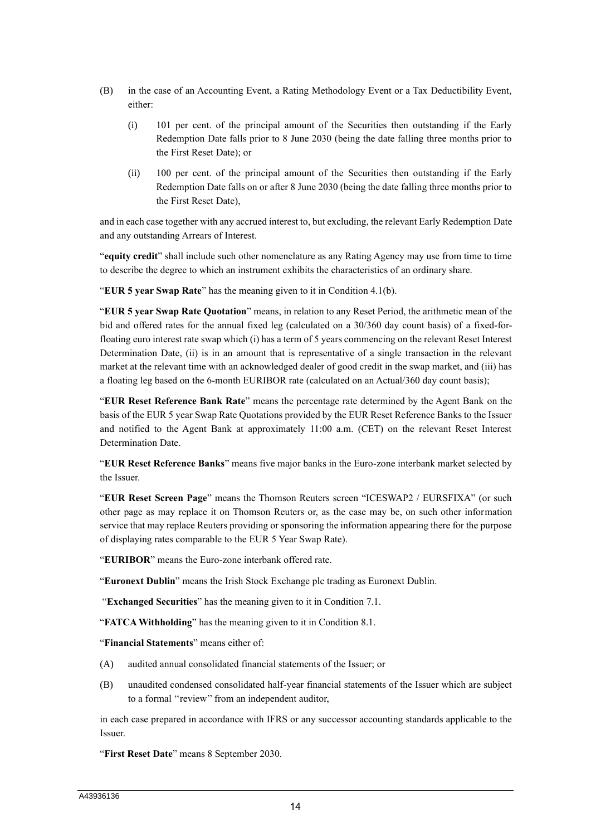- (B) in the case of an Accounting Event, a Rating Methodology Event or a Tax Deductibility Event, either:
	- (i) 101 per cent. of the principal amount of the Securities then outstanding if the Early Redemption Date falls prior to 8 June 2030 (being the date falling three months prior to the First Reset Date); or
	- (ii) 100 per cent. of the principal amount of the Securities then outstanding if the Early Redemption Date falls on or after 8 June 2030 (being the date falling three months prior to the First Reset Date),

and in each case together with any accrued interest to, but excluding, the relevant Early Redemption Date and any outstanding Arrears of Interest.

"**equity credit**" shall include such other nomenclature as any Rating Agency may use from time to time to describe the degree to which an instrument exhibits the characteristics of an ordinary share.

"**EUR 5 year Swap Rate**" has the meaning given to it in Condition 4.1(b).

"**EUR 5 year Swap Rate Quotation**" means, in relation to any Reset Period, the arithmetic mean of the bid and offered rates for the annual fixed leg (calculated on a 30/360 day count basis) of a fixed-forfloating euro interest rate swap which (i) has a term of 5 years commencing on the relevant Reset Interest Determination Date, (ii) is in an amount that is representative of a single transaction in the relevant market at the relevant time with an acknowledged dealer of good credit in the swap market, and (iii) has a floating leg based on the 6-month EURIBOR rate (calculated on an Actual/360 day count basis);

"**EUR Reset Reference Bank Rate**" means the percentage rate determined by the Agent Bank on the basis of the EUR 5 year Swap Rate Quotations provided by the EUR Reset Reference Banks to the Issuer and notified to the Agent Bank at approximately 11:00 a.m. (CET) on the relevant Reset Interest Determination Date.

"**EUR Reset Reference Banks**" means five major banks in the Euro-zone interbank market selected by the Issuer.

"**EUR Reset Screen Page**" means the Thomson Reuters screen "ICESWAP2 / EURSFIXA" (or such other page as may replace it on Thomson Reuters or, as the case may be, on such other information service that may replace Reuters providing or sponsoring the information appearing there for the purpose of displaying rates comparable to the EUR 5 Year Swap Rate).

"**EURIBOR**" means the Euro-zone interbank offered rate.

"**Euronext Dublin**" means the Irish Stock Exchange plc trading as Euronext Dublin.

"**Exchanged Securities**" has the meaning given to it in Condition 7.1.

"**FATCA Withholding**" has the meaning given to it in Condition 8.1.

"**Financial Statements**" means either of:

- (A) audited annual consolidated financial statements of the Issuer; or
- (B) unaudited condensed consolidated half-year financial statements of the Issuer which are subject to a formal ''review'' from an independent auditor,

in each case prepared in accordance with IFRS or any successor accounting standards applicable to the Issuer.

"**First Reset Date**" means 8 September 2030.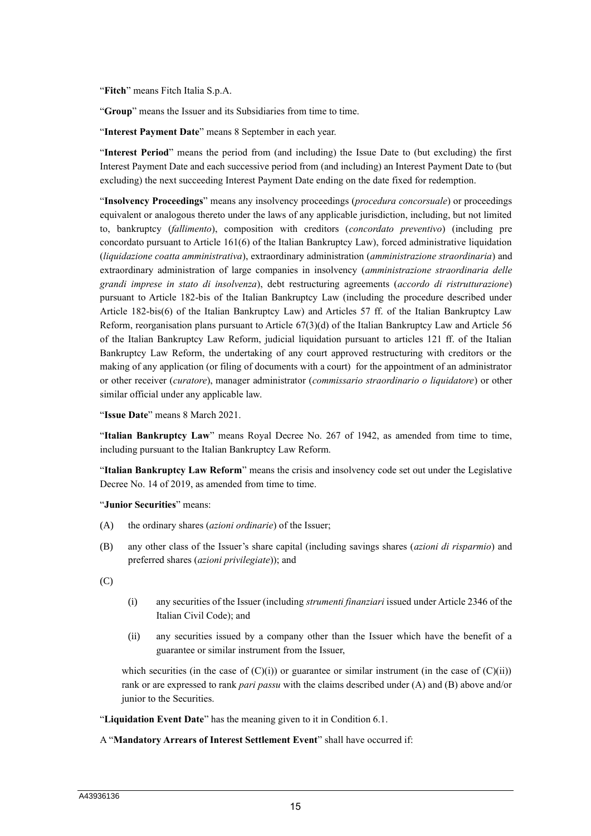"**Fitch**" means Fitch Italia S.p.A.

"**Group**" means the Issuer and its Subsidiaries from time to time.

"**Interest Payment Date**" means 8 September in each year.

"**Interest Period**" means the period from (and including) the Issue Date to (but excluding) the first Interest Payment Date and each successive period from (and including) an Interest Payment Date to (but excluding) the next succeeding Interest Payment Date ending on the date fixed for redemption.

"**Insolvency Proceedings**" means any insolvency proceedings (*procedura concorsuale*) or proceedings equivalent or analogous thereto under the laws of any applicable jurisdiction, including, but not limited to, bankruptcy (*fallimento*), composition with creditors (*concordato preventivo*) (including pre concordato pursuant to Article 161(6) of the Italian Bankruptcy Law), forced administrative liquidation (*liquidazione coatta amministrativa*), extraordinary administration (*amministrazione straordinaria*) and extraordinary administration of large companies in insolvency (*amministrazione straordinaria delle grandi imprese in stato di insolvenza*), debt restructuring agreements (*accordo di ristrutturazione*) pursuant to Article 182-bis of the Italian Bankruptcy Law (including the procedure described under Article 182-bis(6) of the Italian Bankruptcy Law) and Articles 57 ff. of the Italian Bankruptcy Law Reform, reorganisation plans pursuant to Article 67(3)(d) of the Italian Bankruptcy Law and Article 56 of the Italian Bankruptcy Law Reform, judicial liquidation pursuant to articles 121 ff. of the Italian Bankruptcy Law Reform, the undertaking of any court approved restructuring with creditors or the making of any application (or filing of documents with a court) for the appointment of an administrator or other receiver (*curatore*), manager administrator (*commissario straordinario o liquidatore*) or other similar official under any applicable law.

"**Issue Date**" means 8 March 2021.

"**Italian Bankruptcy Law**" means Royal Decree No. 267 of 1942, as amended from time to time, including pursuant to the Italian Bankruptcy Law Reform.

"**Italian Bankruptcy Law Reform**" means the crisis and insolvency code set out under the Legislative Decree No. 14 of 2019, as amended from time to time.

"**Junior Securities**" means:

- (A) the ordinary shares (*azioni ordinarie*) of the Issuer;
- (B) any other class of the Issuer's share capital (including savings shares (*azioni di risparmio*) and preferred shares (*azioni privilegiate*)); and

(C)

- (i) any securities of the Issuer (including *strumenti finanziari* issued under Article 2346 of the Italian Civil Code); and
- (ii) any securities issued by a company other than the Issuer which have the benefit of a guarantee or similar instrument from the Issuer,

which securities (in the case of  $(C)(i)$ ) or guarantee or similar instrument (in the case of  $(C)(ii)$ ) rank or are expressed to rank *pari passu* with the claims described under (A) and (B) above and/or junior to the Securities.

"**Liquidation Event Date**" has the meaning given to it in Condition 6.1.

#### A "**Mandatory Arrears of Interest Settlement Event**" shall have occurred if: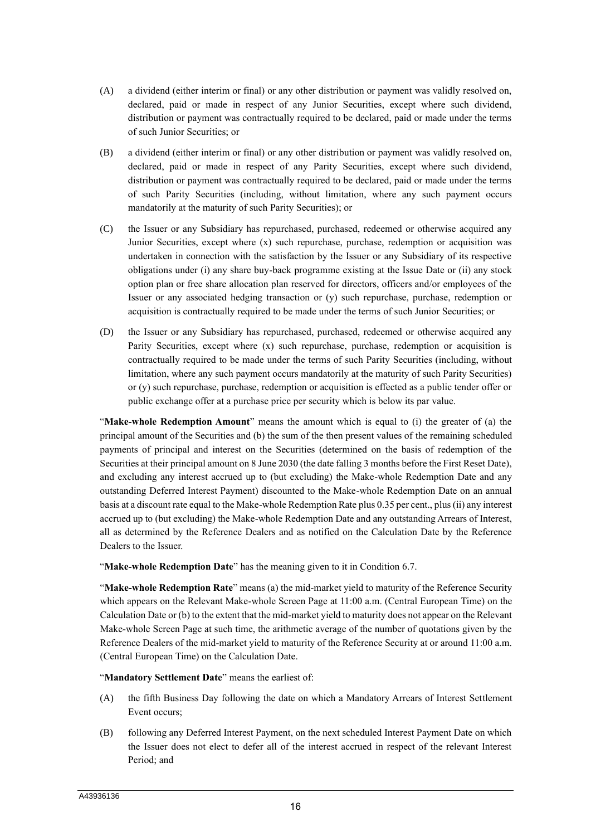- (A) a dividend (either interim or final) or any other distribution or payment was validly resolved on, declared, paid or made in respect of any Junior Securities, except where such dividend, distribution or payment was contractually required to be declared, paid or made under the terms of such Junior Securities; or
- (B) a dividend (either interim or final) or any other distribution or payment was validly resolved on, declared, paid or made in respect of any Parity Securities, except where such dividend, distribution or payment was contractually required to be declared, paid or made under the terms of such Parity Securities (including, without limitation, where any such payment occurs mandatorily at the maturity of such Parity Securities); or
- (C) the Issuer or any Subsidiary has repurchased, purchased, redeemed or otherwise acquired any Junior Securities, except where (x) such repurchase, purchase, redemption or acquisition was undertaken in connection with the satisfaction by the Issuer or any Subsidiary of its respective obligations under (i) any share buy-back programme existing at the Issue Date or (ii) any stock option plan or free share allocation plan reserved for directors, officers and/or employees of the Issuer or any associated hedging transaction or (y) such repurchase, purchase, redemption or acquisition is contractually required to be made under the terms of such Junior Securities; or
- (D) the Issuer or any Subsidiary has repurchased, purchased, redeemed or otherwise acquired any Parity Securities, except where (x) such repurchase, purchase, redemption or acquisition is contractually required to be made under the terms of such Parity Securities (including, without limitation, where any such payment occurs mandatorily at the maturity of such Parity Securities) or (y) such repurchase, purchase, redemption or acquisition is effected as a public tender offer or public exchange offer at a purchase price per security which is below its par value.

"**Make-whole Redemption Amount**" means the amount which is equal to (i) the greater of (a) the principal amount of the Securities and (b) the sum of the then present values of the remaining scheduled payments of principal and interest on the Securities (determined on the basis of redemption of the Securities at their principal amount on 8 June 2030 (the date falling 3 months before the First Reset Date), and excluding any interest accrued up to (but excluding) the Make-whole Redemption Date and any outstanding Deferred Interest Payment) discounted to the Make-whole Redemption Date on an annual basis at a discount rate equal to the Make-whole Redemption Rate plus 0.35 per cent., plus (ii) any interest accrued up to (but excluding) the Make-whole Redemption Date and any outstanding Arrears of Interest, all as determined by the Reference Dealers and as notified on the Calculation Date by the Reference Dealers to the Issuer.

"**Make-whole Redemption Date**" has the meaning given to it in Condition 6.7.

"**Make-whole Redemption Rate**" means (a) the mid-market yield to maturity of the Reference Security which appears on the Relevant Make-whole Screen Page at 11:00 a.m. (Central European Time) on the Calculation Date or (b) to the extent that the mid-market yield to maturity does not appear on the Relevant Make-whole Screen Page at such time, the arithmetic average of the number of quotations given by the Reference Dealers of the mid-market yield to maturity of the Reference Security at or around 11:00 a.m. (Central European Time) on the Calculation Date.

"**Mandatory Settlement Date**" means the earliest of:

- (A) the fifth Business Day following the date on which a Mandatory Arrears of Interest Settlement Event occurs;
- (B) following any Deferred Interest Payment, on the next scheduled Interest Payment Date on which the Issuer does not elect to defer all of the interest accrued in respect of the relevant Interest Period; and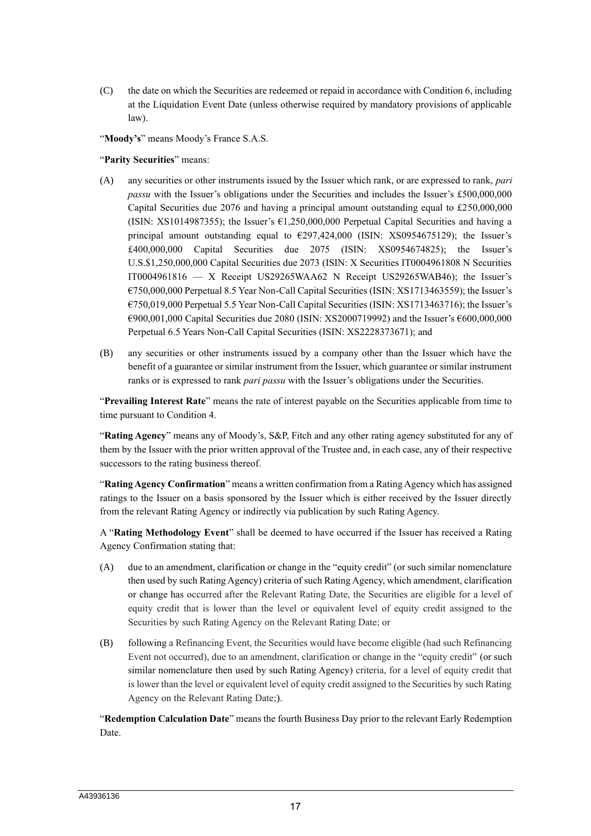(C) the date on which the Securities are redeemed or repaid in accordance with Condition 6, including at the Liquidation Event Date (unless otherwise required by mandatory provisions of applicable law).

"**Moody's**" means Moody's France S.A.S.

"**Parity Securities**" means:

- (A) any securities or other instruments issued by the Issuer which rank, or are expressed to rank, *pari passu* with the Issuer's obligations under the Securities and includes the Issuer's £500,000,000 Capital Securities due 2076 and having a principal amount outstanding equal to £250,000,000 (ISIN: XS1014987355); the Issuer's  $\epsilon$ 1,250,000,000 Perpetual Capital Securities and having a principal amount outstanding equal to €297,424,000 (ISIN: XS0954675129); the Issuer's £400,000,000 Capital Securities due 2075 (ISIN: XS0954674825); the Issuer's U.S.\$1,250,000,000 Capital Securities due 2073 (ISIN: X Securities IT0004961808 N Securities IT0004961816 — X Receipt US29265WAA62 N Receipt US29265WAB46); the Issuer's €750,000,000 Perpetual 8.5 Year Non-Call Capital Securities (ISIN: XS1713463559); the Issuer's €750,019,000 Perpetual 5.5 Year Non-Call Capital Securities (ISIN: XS1713463716); the Issuer's €900,001,000 Capital Securities due 2080 (ISIN: XS2000719992) and the Issuer's €600,000,000 Perpetual 6.5 Years Non-Call Capital Securities (ISIN: XS2228373671); and
- (B) any securities or other instruments issued by a company other than the Issuer which have the benefit of a guarantee or similar instrument from the Issuer, which guarantee or similar instrument ranks or is expressed to rank *pari passu* with the Issuer's obligations under the Securities.

"**Prevailing Interest Rate**" means the rate of interest payable on the Securities applicable from time to time pursuant to Condition 4.

"**Rating Agency**" means any of Moody's, S&P, Fitch and any other rating agency substituted for any of them by the Issuer with the prior written approval of the Trustee and, in each case, any of their respective successors to the rating business thereof.

"**Rating Agency Confirmation**" means a written confirmation from a Rating Agency which has assigned ratings to the Issuer on a basis sponsored by the Issuer which is either received by the Issuer directly from the relevant Rating Agency or indirectly via publication by such Rating Agency.

A "**Rating Methodology Event**" shall be deemed to have occurred if the Issuer has received a Rating Agency Confirmation stating that:

- (A) due to an amendment, clarification or change in the "equity credit" (or such similar nomenclature then used by such Rating Agency) criteria of such Rating Agency, which amendment, clarification or change has occurred after the Relevant Rating Date, the Securities are eligible for a level of equity credit that is lower than the level or equivalent level of equity credit assigned to the Securities by such Rating Agency on the Relevant Rating Date; or
- (B) following a Refinancing Event, the Securities would have become eligible (had such Refinancing Event not occurred), due to an amendment, clarification or change in the "equity credit" (or such similar nomenclature then used by such Rating Agency) criteria, for a level of equity credit that is lower than the level or equivalent level of equity credit assigned to the Securities by such Rating Agency on the Relevant Rating Date;).

"**Redemption Calculation Date**" means the fourth Business Day prior to the relevant Early Redemption Date.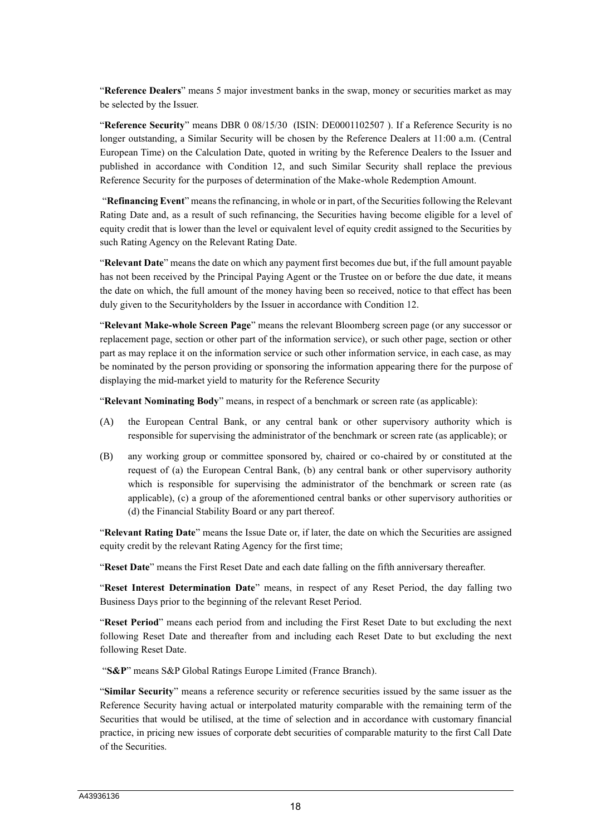"**Reference Dealers**" means 5 major investment banks in the swap, money or securities market as may be selected by the Issuer.

"**Reference Security**" means DBR 0 08/15/30 (ISIN: DE0001102507 ). If a Reference Security is no longer outstanding, a Similar Security will be chosen by the Reference Dealers at 11:00 a.m. (Central European Time) on the Calculation Date, quoted in writing by the Reference Dealers to the Issuer and published in accordance with Condition 12, and such Similar Security shall replace the previous Reference Security for the purposes of determination of the Make-whole Redemption Amount.

"**Refinancing Event**" means the refinancing, in whole or in part, of the Securities following the Relevant Rating Date and, as a result of such refinancing, the Securities having become eligible for a level of equity credit that is lower than the level or equivalent level of equity credit assigned to the Securities by such Rating Agency on the Relevant Rating Date.

"**Relevant Date**" means the date on which any payment first becomes due but, if the full amount payable has not been received by the Principal Paying Agent or the Trustee on or before the due date, it means the date on which, the full amount of the money having been so received, notice to that effect has been duly given to the Securityholders by the Issuer in accordance with Condition 12.

"**Relevant Make-whole Screen Page**" means the relevant Bloomberg screen page (or any successor or replacement page, section or other part of the information service), or such other page, section or other part as may replace it on the information service or such other information service, in each case, as may be nominated by the person providing or sponsoring the information appearing there for the purpose of displaying the mid-market yield to maturity for the Reference Security

"**Relevant Nominating Body**" means, in respect of a benchmark or screen rate (as applicable):

- (A) the European Central Bank, or any central bank or other supervisory authority which is responsible for supervising the administrator of the benchmark or screen rate (as applicable); or
- (B) any working group or committee sponsored by, chaired or co-chaired by or constituted at the request of (a) the European Central Bank, (b) any central bank or other supervisory authority which is responsible for supervising the administrator of the benchmark or screen rate (as applicable), (c) a group of the aforementioned central banks or other supervisory authorities or (d) the Financial Stability Board or any part thereof.

"**Relevant Rating Date**" means the Issue Date or, if later, the date on which the Securities are assigned equity credit by the relevant Rating Agency for the first time;

"**Reset Date**" means the First Reset Date and each date falling on the fifth anniversary thereafter.

"**Reset Interest Determination Date**" means, in respect of any Reset Period, the day falling two Business Days prior to the beginning of the relevant Reset Period.

"**Reset Period**" means each period from and including the First Reset Date to but excluding the next following Reset Date and thereafter from and including each Reset Date to but excluding the next following Reset Date.

"**S&P**" means S&P Global Ratings Europe Limited (France Branch).

"**Similar Security**" means a reference security or reference securities issued by the same issuer as the Reference Security having actual or interpolated maturity comparable with the remaining term of the Securities that would be utilised, at the time of selection and in accordance with customary financial practice, in pricing new issues of corporate debt securities of comparable maturity to the first Call Date of the Securities.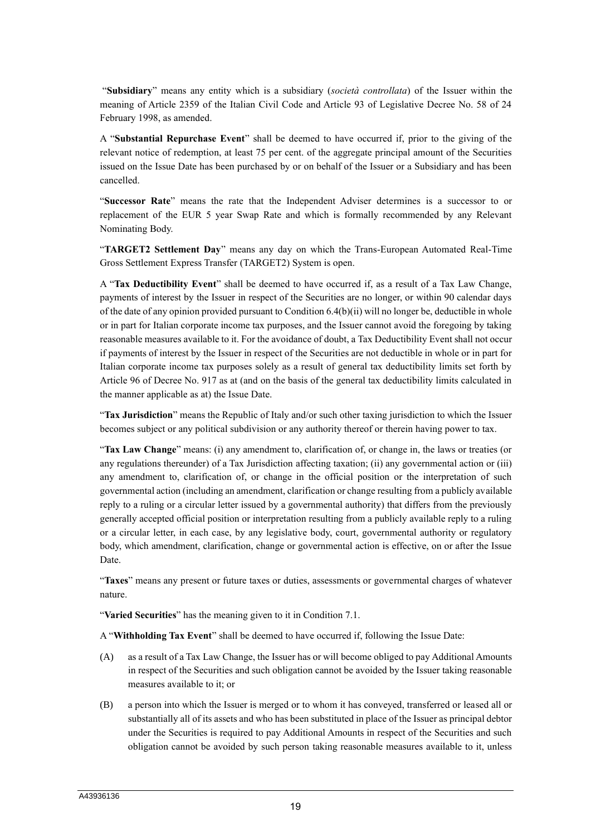"**Subsidiary**" means any entity which is a subsidiary (*società controllata*) of the Issuer within the meaning of Article 2359 of the Italian Civil Code and Article 93 of Legislative Decree No. 58 of 24 February 1998, as amended.

A "**Substantial Repurchase Event**" shall be deemed to have occurred if, prior to the giving of the relevant notice of redemption, at least 75 per cent. of the aggregate principal amount of the Securities issued on the Issue Date has been purchased by or on behalf of the Issuer or a Subsidiary and has been cancelled.

"**Successor Rate**" means the rate that the Independent Adviser determines is a successor to or replacement of the EUR 5 year Swap Rate and which is formally recommended by any Relevant Nominating Body.

"**TARGET2 Settlement Day**" means any day on which the Trans-European Automated Real-Time Gross Settlement Express Transfer (TARGET2) System is open.

A "**Tax Deductibility Event**" shall be deemed to have occurred if, as a result of a Tax Law Change, payments of interest by the Issuer in respect of the Securities are no longer, or within 90 calendar days of the date of any opinion provided pursuant to Condition 6.4(b)(ii) will no longer be, deductible in whole or in part for Italian corporate income tax purposes, and the Issuer cannot avoid the foregoing by taking reasonable measures available to it. For the avoidance of doubt, a Tax Deductibility Event shall not occur if payments of interest by the Issuer in respect of the Securities are not deductible in whole or in part for Italian corporate income tax purposes solely as a result of general tax deductibility limits set forth by Article 96 of Decree No. 917 as at (and on the basis of the general tax deductibility limits calculated in the manner applicable as at) the Issue Date.

"**Tax Jurisdiction**" means the Republic of Italy and/or such other taxing jurisdiction to which the Issuer becomes subject or any political subdivision or any authority thereof or therein having power to tax.

"**Tax Law Change**" means: (i) any amendment to, clarification of, or change in, the laws or treaties (or any regulations thereunder) of a Tax Jurisdiction affecting taxation; (ii) any governmental action or (iii) any amendment to, clarification of, or change in the official position or the interpretation of such governmental action (including an amendment, clarification or change resulting from a publicly available reply to a ruling or a circular letter issued by a governmental authority) that differs from the previously generally accepted official position or interpretation resulting from a publicly available reply to a ruling or a circular letter, in each case, by any legislative body, court, governmental authority or regulatory body, which amendment, clarification, change or governmental action is effective, on or after the Issue Date.

"**Taxes**" means any present or future taxes or duties, assessments or governmental charges of whatever nature.

"**Varied Securities**" has the meaning given to it in Condition 7.1.

A "**Withholding Tax Event**" shall be deemed to have occurred if, following the Issue Date:

- (A) as a result of a Tax Law Change, the Issuer has or will become obliged to pay Additional Amounts in respect of the Securities and such obligation cannot be avoided by the Issuer taking reasonable measures available to it; or
- (B) a person into which the Issuer is merged or to whom it has conveyed, transferred or leased all or substantially all of its assets and who has been substituted in place of the Issuer as principal debtor under the Securities is required to pay Additional Amounts in respect of the Securities and such obligation cannot be avoided by such person taking reasonable measures available to it, unless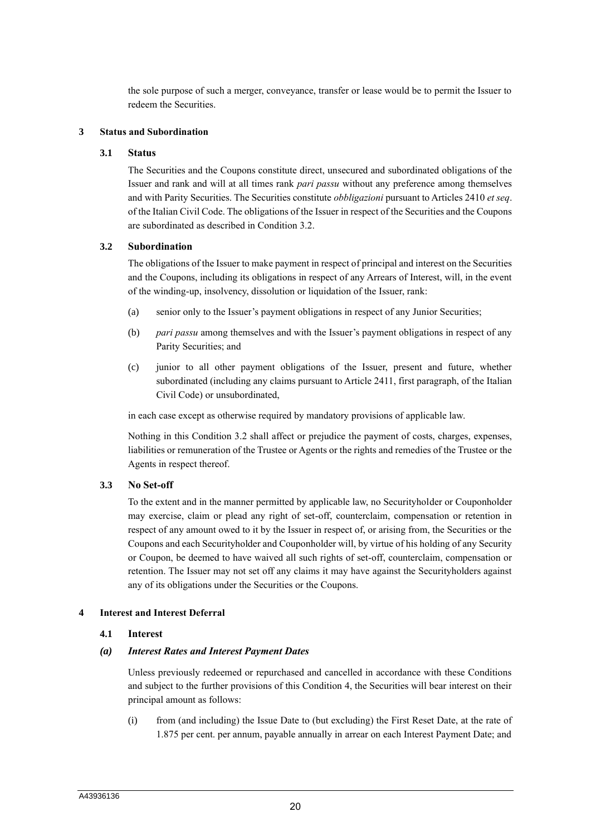the sole purpose of such a merger, conveyance, transfer or lease would be to permit the Issuer to redeem the Securities.

#### **3 Status and Subordination**

#### **3.1 Status**

The Securities and the Coupons constitute direct, unsecured and subordinated obligations of the Issuer and rank and will at all times rank *pari passu* without any preference among themselves and with Parity Securities. The Securities constitute *obbligazioni* pursuant to Articles 2410 *et seq*. of the Italian Civil Code. The obligations of the Issuer in respect of the Securities and the Coupons are subordinated as described in Condition 3.2.

#### **3.2 Subordination**

The obligations of the Issuer to make payment in respect of principal and interest on the Securities and the Coupons, including its obligations in respect of any Arrears of Interest, will, in the event of the winding-up, insolvency, dissolution or liquidation of the Issuer, rank:

- (a) senior only to the Issuer's payment obligations in respect of any Junior Securities;
- (b) *pari passu* among themselves and with the Issuer's payment obligations in respect of any Parity Securities; and
- (c) junior to all other payment obligations of the Issuer, present and future, whether subordinated (including any claims pursuant to Article 2411, first paragraph, of the Italian Civil Code) or unsubordinated,

in each case except as otherwise required by mandatory provisions of applicable law.

Nothing in this Condition 3.2 shall affect or prejudice the payment of costs, charges, expenses, liabilities or remuneration of the Trustee or Agents or the rights and remedies of the Trustee or the Agents in respect thereof.

# **3.3 No Set-off**

To the extent and in the manner permitted by applicable law, no Securityholder or Couponholder may exercise, claim or plead any right of set-off, counterclaim, compensation or retention in respect of any amount owed to it by the Issuer in respect of, or arising from, the Securities or the Coupons and each Securityholder and Couponholder will, by virtue of his holding of any Security or Coupon, be deemed to have waived all such rights of set-off, counterclaim, compensation or retention. The Issuer may not set off any claims it may have against the Securityholders against any of its obligations under the Securities or the Coupons.

#### **4 Interest and Interest Deferral**

#### **4.1 Interest**

#### *(a) Interest Rates and Interest Payment Dates*

Unless previously redeemed or repurchased and cancelled in accordance with these Conditions and subject to the further provisions of this Condition 4, the Securities will bear interest on their principal amount as follows:

(i) from (and including) the Issue Date to (but excluding) the First Reset Date, at the rate of 1.875 per cent. per annum, payable annually in arrear on each Interest Payment Date; and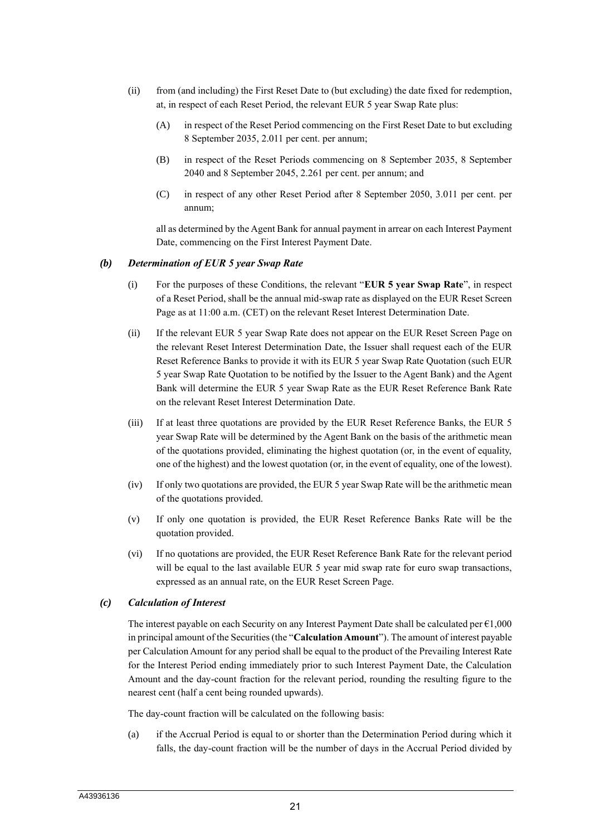- (ii) from (and including) the First Reset Date to (but excluding) the date fixed for redemption, at, in respect of each Reset Period, the relevant EUR 5 year Swap Rate plus:
	- (A) in respect of the Reset Period commencing on the First Reset Date to but excluding 8 September 2035, 2.011 per cent. per annum;
	- (B) in respect of the Reset Periods commencing on 8 September 2035, 8 September 2040 and 8 September 2045, 2.261 per cent. per annum; and
	- (C) in respect of any other Reset Period after 8 September 2050, 3.011 per cent. per annum;

all as determined by the Agent Bank for annual payment in arrear on each Interest Payment Date, commencing on the First Interest Payment Date.

#### *(b) Determination of EUR 5 year Swap Rate*

- (i) For the purposes of these Conditions, the relevant "**EUR 5 year Swap Rate**", in respect of a Reset Period, shall be the annual mid-swap rate as displayed on the EUR Reset Screen Page as at 11:00 a.m. (CET) on the relevant Reset Interest Determination Date.
- (ii) If the relevant EUR 5 year Swap Rate does not appear on the EUR Reset Screen Page on the relevant Reset Interest Determination Date, the Issuer shall request each of the EUR Reset Reference Banks to provide it with its EUR 5 year Swap Rate Quotation (such EUR 5 year Swap Rate Quotation to be notified by the Issuer to the Agent Bank) and the Agent Bank will determine the EUR 5 year Swap Rate as the EUR Reset Reference Bank Rate on the relevant Reset Interest Determination Date.
- (iii) If at least three quotations are provided by the EUR Reset Reference Banks, the EUR 5 year Swap Rate will be determined by the Agent Bank on the basis of the arithmetic mean of the quotations provided, eliminating the highest quotation (or, in the event of equality, one of the highest) and the lowest quotation (or, in the event of equality, one of the lowest).
- (iv) If only two quotations are provided, the EUR 5 year Swap Rate will be the arithmetic mean of the quotations provided.
- (v) If only one quotation is provided, the EUR Reset Reference Banks Rate will be the quotation provided.
- (vi) If no quotations are provided, the EUR Reset Reference Bank Rate for the relevant period will be equal to the last available EUR 5 year mid swap rate for euro swap transactions, expressed as an annual rate, on the EUR Reset Screen Page.

# *(c) Calculation of Interest*

The interest payable on each Security on any Interest Payment Date shall be calculated per  $\epsilon$ 1,000 in principal amount of the Securities (the "**Calculation Amount**"). The amount of interest payable per Calculation Amount for any period shall be equal to the product of the Prevailing Interest Rate for the Interest Period ending immediately prior to such Interest Payment Date, the Calculation Amount and the day-count fraction for the relevant period, rounding the resulting figure to the nearest cent (half a cent being rounded upwards).

The day-count fraction will be calculated on the following basis:

(a) if the Accrual Period is equal to or shorter than the Determination Period during which it falls, the day-count fraction will be the number of days in the Accrual Period divided by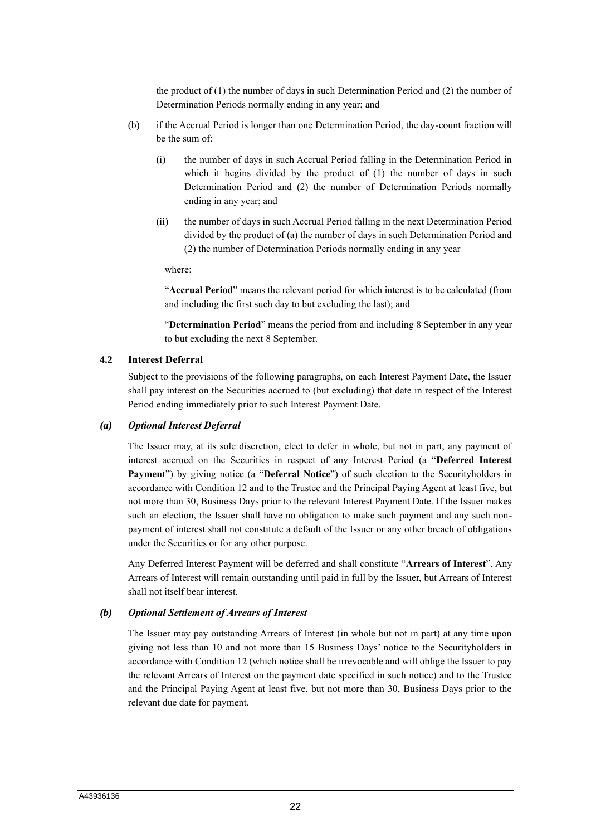the product of  $(1)$  the number of days in such Determination Period and  $(2)$  the number of Determination Periods normally ending in any year; and

- (b) if the Accrual Period is longer than one Determination Period, the day-count fraction will be the sum of:
	- (i) the number of days in such Accrual Period falling in the Determination Period in which it begins divided by the product of (1) the number of days in such Determination Period and (2) the number of Determination Periods normally ending in any year; and
	- (ii) the number of days in such Accrual Period falling in the next Determination Period divided by the product of (a) the number of days in such Determination Period and (2) the number of Determination Periods normally ending in any year

where:

"**Accrual Period**" means the relevant period for which interest is to be calculated (from and including the first such day to but excluding the last); and

"**Determination Period**" means the period from and including 8 September in any year to but excluding the next 8 September.

### **4.2 Interest Deferral**

Subject to the provisions of the following paragraphs, on each Interest Payment Date, the Issuer shall pay interest on the Securities accrued to (but excluding) that date in respect of the Interest Period ending immediately prior to such Interest Payment Date.

#### *(a) Optional Interest Deferral*

The Issuer may, at its sole discretion, elect to defer in whole, but not in part, any payment of interest accrued on the Securities in respect of any Interest Period (a "**Deferred Interest Payment**") by giving notice (a "**Deferral Notice**") of such election to the Securityholders in accordance with Condition 12 and to the Trustee and the Principal Paying Agent at least five, but not more than 30, Business Days prior to the relevant Interest Payment Date. If the Issuer makes such an election, the Issuer shall have no obligation to make such payment and any such nonpayment of interest shall not constitute a default of the Issuer or any other breach of obligations under the Securities or for any other purpose.

Any Deferred Interest Payment will be deferred and shall constitute "**Arrears of Interest**". Any Arrears of Interest will remain outstanding until paid in full by the Issuer, but Arrears of Interest shall not itself bear interest.

# *(b) Optional Settlement of Arrears of Interest*

The Issuer may pay outstanding Arrears of Interest (in whole but not in part) at any time upon giving not less than 10 and not more than 15 Business Days' notice to the Securityholders in accordance with Condition 12 (which notice shall be irrevocable and will oblige the Issuer to pay the relevant Arrears of Interest on the payment date specified in such notice) and to the Trustee and the Principal Paying Agent at least five, but not more than 30, Business Days prior to the relevant due date for payment.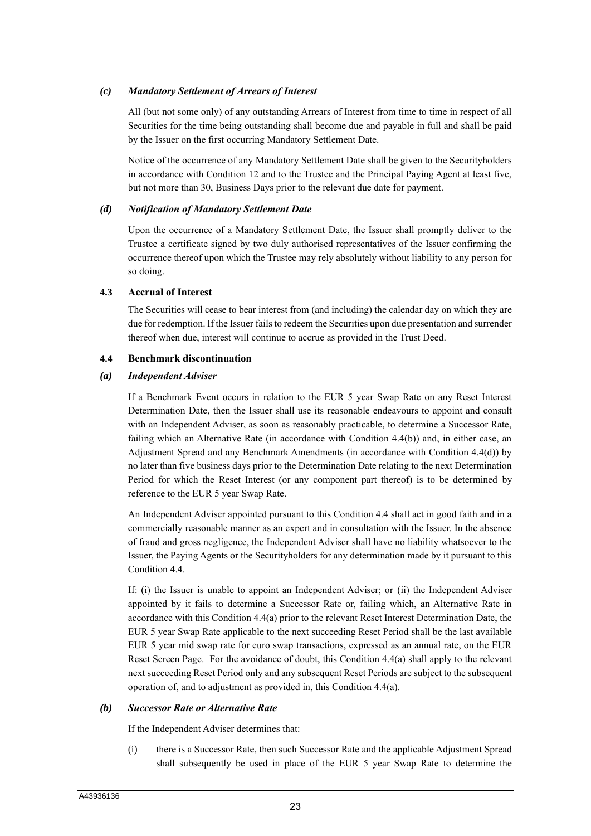# *(c) Mandatory Settlement of Arrears of Interest*

All (but not some only) of any outstanding Arrears of Interest from time to time in respect of all Securities for the time being outstanding shall become due and payable in full and shall be paid by the Issuer on the first occurring Mandatory Settlement Date.

Notice of the occurrence of any Mandatory Settlement Date shall be given to the Securityholders in accordance with Condition 12 and to the Trustee and the Principal Paying Agent at least five, but not more than 30, Business Days prior to the relevant due date for payment.

#### *(d) Notification of Mandatory Settlement Date*

Upon the occurrence of a Mandatory Settlement Date, the Issuer shall promptly deliver to the Trustee a certificate signed by two duly authorised representatives of the Issuer confirming the occurrence thereof upon which the Trustee may rely absolutely without liability to any person for so doing.

#### **4.3 Accrual of Interest**

The Securities will cease to bear interest from (and including) the calendar day on which they are due for redemption. If the Issuer fails to redeem the Securities upon due presentation and surrender thereof when due, interest will continue to accrue as provided in the Trust Deed.

#### **4.4 Benchmark discontinuation**

#### *(a) Independent Adviser*

If a Benchmark Event occurs in relation to the EUR 5 year Swap Rate on any Reset Interest Determination Date, then the Issuer shall use its reasonable endeavours to appoint and consult with an Independent Adviser, as soon as reasonably practicable, to determine a Successor Rate, failing which an Alternative Rate (in accordance with Condition 4.4(b)) and, in either case, an Adjustment Spread and any Benchmark Amendments (in accordance with Condition 4.4(d)) by no later than five business days prior to the Determination Date relating to the next Determination Period for which the Reset Interest (or any component part thereof) is to be determined by reference to the EUR 5 year Swap Rate.

An Independent Adviser appointed pursuant to this Condition 4.4 shall act in good faith and in a commercially reasonable manner as an expert and in consultation with the Issuer. In the absence of fraud and gross negligence, the Independent Adviser shall have no liability whatsoever to the Issuer, the Paying Agents or the Securityholders for any determination made by it pursuant to this Condition 4.4.

If: (i) the Issuer is unable to appoint an Independent Adviser; or (ii) the Independent Adviser appointed by it fails to determine a Successor Rate or, failing which, an Alternative Rate in accordance with this Condition 4.4(a) prior to the relevant Reset Interest Determination Date, the EUR 5 year Swap Rate applicable to the next succeeding Reset Period shall be the last available EUR 5 year mid swap rate for euro swap transactions, expressed as an annual rate, on the EUR Reset Screen Page. For the avoidance of doubt, this Condition 4.4(a) shall apply to the relevant next succeeding Reset Period only and any subsequent Reset Periods are subject to the subsequent operation of, and to adjustment as provided in, this Condition 4.4(a).

#### *(b) Successor Rate or Alternative Rate*

If the Independent Adviser determines that:

(i) there is a Successor Rate, then such Successor Rate and the applicable Adjustment Spread shall subsequently be used in place of the EUR 5 year Swap Rate to determine the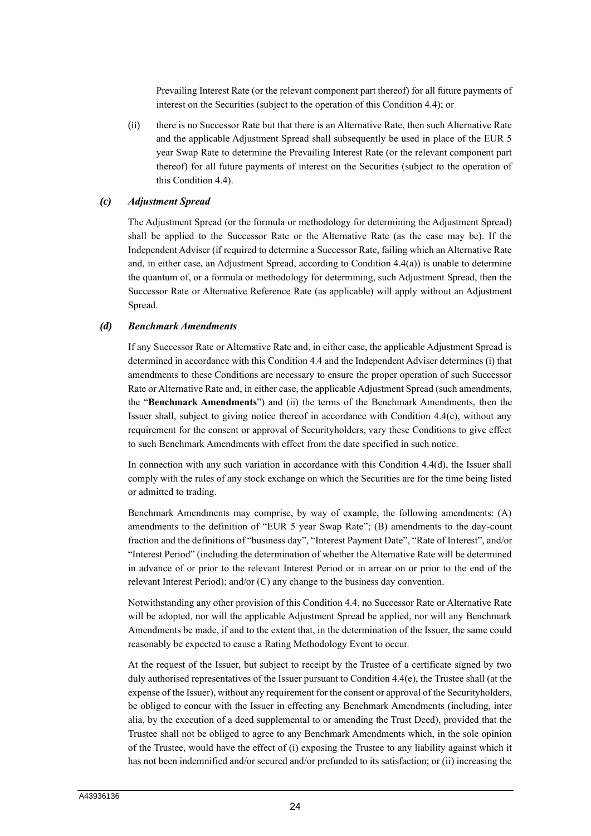Prevailing Interest Rate (or the relevant component part thereof) for all future payments of interest on the Securities (subject to the operation of this Condition 4.4); or

(ii) there is no Successor Rate but that there is an Alternative Rate, then such Alternative Rate and the applicable Adjustment Spread shall subsequently be used in place of the EUR 5 year Swap Rate to determine the Prevailing Interest Rate (or the relevant component part thereof) for all future payments of interest on the Securities (subject to the operation of this Condition 4.4).

#### *(c) Adjustment Spread*

The Adjustment Spread (or the formula or methodology for determining the Adjustment Spread) shall be applied to the Successor Rate or the Alternative Rate (as the case may be). If the Independent Adviser (if required to determine a Successor Rate, failing which an Alternative Rate and, in either case, an Adjustment Spread, according to Condition 4.4(a)) is unable to determine the quantum of, or a formula or methodology for determining, such Adjustment Spread, then the Successor Rate or Alternative Reference Rate (as applicable) will apply without an Adjustment Spread.

#### *(d) Benchmark Amendments*

If any Successor Rate or Alternative Rate and, in either case, the applicable Adjustment Spread is determined in accordance with this Condition 4.4 and the Independent Adviser determines (i) that amendments to these Conditions are necessary to ensure the proper operation of such Successor Rate or Alternative Rate and, in either case, the applicable Adjustment Spread (such amendments, the "**Benchmark Amendments**") and (ii) the terms of the Benchmark Amendments, then the Issuer shall, subject to giving notice thereof in accordance with Condition 4.4(e), without any requirement for the consent or approval of Securityholders, vary these Conditions to give effect to such Benchmark Amendments with effect from the date specified in such notice.

In connection with any such variation in accordance with this Condition 4.4(d), the Issuer shall comply with the rules of any stock exchange on which the Securities are for the time being listed or admitted to trading.

Benchmark Amendments may comprise, by way of example, the following amendments: (A) amendments to the definition of "EUR 5 year Swap Rate"; (B) amendments to the day-count fraction and the definitions of "business day", "Interest Payment Date", "Rate of Interest", and/or "Interest Period" (including the determination of whether the Alternative Rate will be determined in advance of or prior to the relevant Interest Period or in arrear on or prior to the end of the relevant Interest Period); and/or (C) any change to the business day convention.

Notwithstanding any other provision of this Condition 4.4, no Successor Rate or Alternative Rate will be adopted, nor will the applicable Adjustment Spread be applied, nor will any Benchmark Amendments be made, if and to the extent that, in the determination of the Issuer, the same could reasonably be expected to cause a Rating Methodology Event to occur.

At the request of the Issuer, but subject to receipt by the Trustee of a certificate signed by two duly authorised representatives of the Issuer pursuant to Condition 4.4(e), the Trustee shall (at the expense of the Issuer), without any requirement for the consent or approval of the Securityholders, be obliged to concur with the Issuer in effecting any Benchmark Amendments (including, inter alia, by the execution of a deed supplemental to or amending the Trust Deed), provided that the Trustee shall not be obliged to agree to any Benchmark Amendments which, in the sole opinion of the Trustee, would have the effect of (i) exposing the Trustee to any liability against which it has not been indemnified and/or secured and/or prefunded to its satisfaction; or (ii) increasing the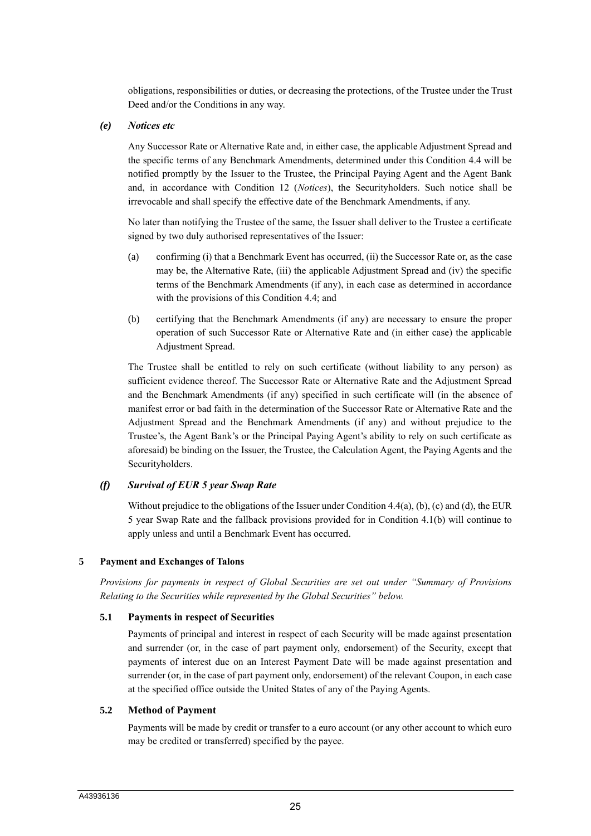obligations, responsibilities or duties, or decreasing the protections, of the Trustee under the Trust Deed and/or the Conditions in any way.

#### *(e) Notices etc*

Any Successor Rate or Alternative Rate and, in either case, the applicable Adjustment Spread and the specific terms of any Benchmark Amendments, determined under this Condition 4.4 will be notified promptly by the Issuer to the Trustee, the Principal Paying Agent and the Agent Bank and, in accordance with Condition 12 (*Notices*), the Securityholders. Such notice shall be irrevocable and shall specify the effective date of the Benchmark Amendments, if any.

No later than notifying the Trustee of the same, the Issuer shall deliver to the Trustee a certificate signed by two duly authorised representatives of the Issuer:

- (a) confirming (i) that a Benchmark Event has occurred, (ii) the Successor Rate or, as the case may be, the Alternative Rate, (iii) the applicable Adjustment Spread and (iv) the specific terms of the Benchmark Amendments (if any), in each case as determined in accordance with the provisions of this Condition 4.4; and
- (b) certifying that the Benchmark Amendments (if any) are necessary to ensure the proper operation of such Successor Rate or Alternative Rate and (in either case) the applicable Adjustment Spread.

The Trustee shall be entitled to rely on such certificate (without liability to any person) as sufficient evidence thereof. The Successor Rate or Alternative Rate and the Adjustment Spread and the Benchmark Amendments (if any) specified in such certificate will (in the absence of manifest error or bad faith in the determination of the Successor Rate or Alternative Rate and the Adjustment Spread and the Benchmark Amendments (if any) and without prejudice to the Trustee's, the Agent Bank's or the Principal Paying Agent's ability to rely on such certificate as aforesaid) be binding on the Issuer, the Trustee, the Calculation Agent, the Paying Agents and the Securityholders.

# *(f) Survival of EUR 5 year Swap Rate*

Without prejudice to the obligations of the Issuer under Condition 4.4(a), (b), (c) and (d), the EUR 5 year Swap Rate and the fallback provisions provided for in Condition 4.1(b) will continue to apply unless and until a Benchmark Event has occurred.

# **5 Payment and Exchanges of Talons**

*Provisions for payments in respect of Global Securities are set out under "Summary of Provisions Relating to the Securities while represented by the Global Securities" below.*

# **5.1 Payments in respect of Securities**

Payments of principal and interest in respect of each Security will be made against presentation and surrender (or, in the case of part payment only, endorsement) of the Security, except that payments of interest due on an Interest Payment Date will be made against presentation and surrender (or, in the case of part payment only, endorsement) of the relevant Coupon, in each case at the specified office outside the United States of any of the Paying Agents.

# **5.2 Method of Payment**

Payments will be made by credit or transfer to a euro account (or any other account to which euro may be credited or transferred) specified by the payee.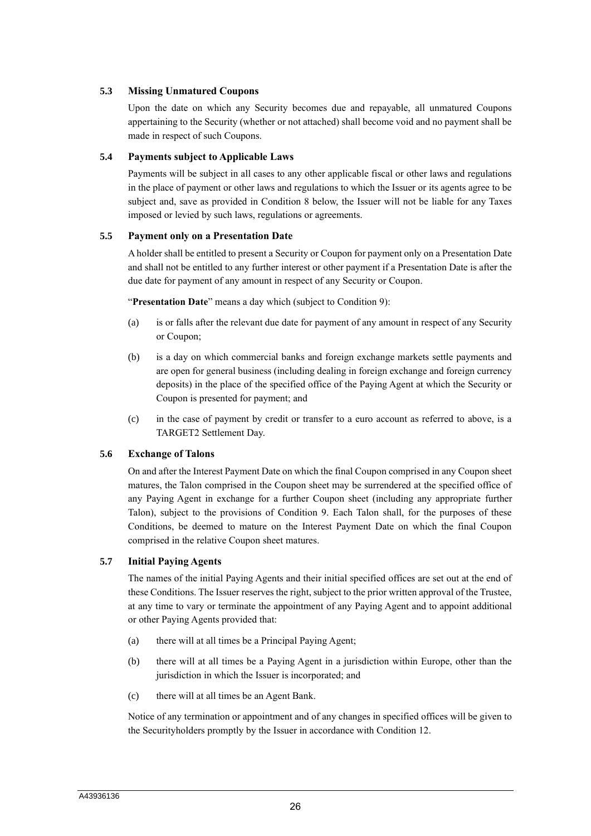# **5.3 Missing Unmatured Coupons**

Upon the date on which any Security becomes due and repayable, all unmatured Coupons appertaining to the Security (whether or not attached) shall become void and no payment shall be made in respect of such Coupons.

# **5.4 Payments subject to Applicable Laws**

Payments will be subject in all cases to any other applicable fiscal or other laws and regulations in the place of payment or other laws and regulations to which the Issuer or its agents agree to be subject and, save as provided in Condition 8 below, the Issuer will not be liable for any Taxes imposed or levied by such laws, regulations or agreements.

# **5.5 Payment only on a Presentation Date**

A holder shall be entitled to present a Security or Coupon for payment only on a Presentation Date and shall not be entitled to any further interest or other payment if a Presentation Date is after the due date for payment of any amount in respect of any Security or Coupon.

"**Presentation Date**" means a day which (subject to Condition 9):

- (a) is or falls after the relevant due date for payment of any amount in respect of any Security or Coupon;
- (b) is a day on which commercial banks and foreign exchange markets settle payments and are open for general business (including dealing in foreign exchange and foreign currency deposits) in the place of the specified office of the Paying Agent at which the Security or Coupon is presented for payment; and
- (c) in the case of payment by credit or transfer to a euro account as referred to above, is a TARGET2 Settlement Day.

# **5.6 Exchange of Talons**

On and after the Interest Payment Date on which the final Coupon comprised in any Coupon sheet matures, the Talon comprised in the Coupon sheet may be surrendered at the specified office of any Paying Agent in exchange for a further Coupon sheet (including any appropriate further Talon), subject to the provisions of Condition 9. Each Talon shall, for the purposes of these Conditions, be deemed to mature on the Interest Payment Date on which the final Coupon comprised in the relative Coupon sheet matures.

# **5.7 Initial Paying Agents**

The names of the initial Paying Agents and their initial specified offices are set out at the end of these Conditions. The Issuer reserves the right, subject to the prior written approval of the Trustee, at any time to vary or terminate the appointment of any Paying Agent and to appoint additional or other Paying Agents provided that:

- (a) there will at all times be a Principal Paying Agent;
- (b) there will at all times be a Paying Agent in a jurisdiction within Europe, other than the jurisdiction in which the Issuer is incorporated; and
- (c) there will at all times be an Agent Bank.

Notice of any termination or appointment and of any changes in specified offices will be given to the Securityholders promptly by the Issuer in accordance with Condition 12.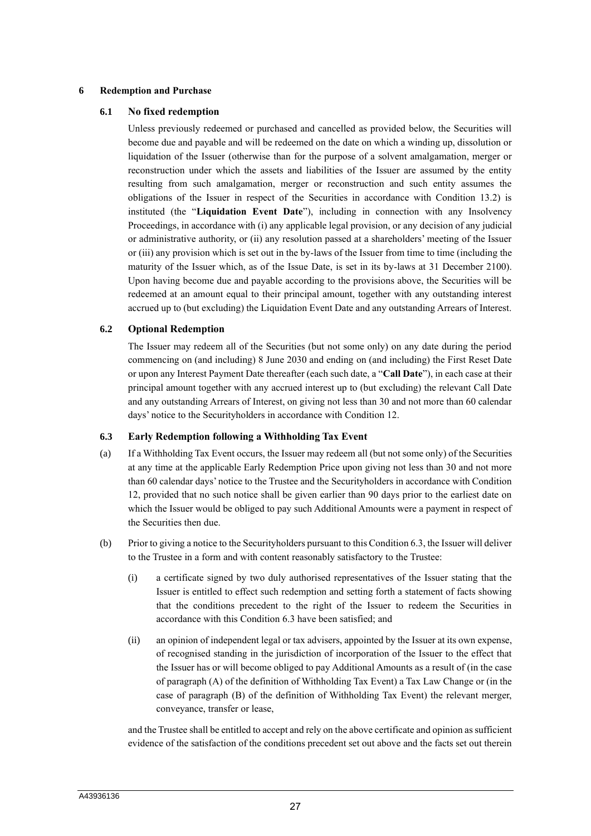#### **6 Redemption and Purchase**

#### **6.1 No fixed redemption**

Unless previously redeemed or purchased and cancelled as provided below, the Securities will become due and payable and will be redeemed on the date on which a winding up, dissolution or liquidation of the Issuer (otherwise than for the purpose of a solvent amalgamation, merger or reconstruction under which the assets and liabilities of the Issuer are assumed by the entity resulting from such amalgamation, merger or reconstruction and such entity assumes the obligations of the Issuer in respect of the Securities in accordance with Condition 13.2) is instituted (the "**Liquidation Event Date**"), including in connection with any Insolvency Proceedings, in accordance with (i) any applicable legal provision, or any decision of any judicial or administrative authority, or (ii) any resolution passed at a shareholders' meeting of the Issuer or (iii) any provision which is set out in the by-laws of the Issuer from time to time (including the maturity of the Issuer which, as of the Issue Date, is set in its by-laws at 31 December 2100). Upon having become due and payable according to the provisions above, the Securities will be redeemed at an amount equal to their principal amount, together with any outstanding interest accrued up to (but excluding) the Liquidation Event Date and any outstanding Arrears of Interest.

# **6.2 Optional Redemption**

The Issuer may redeem all of the Securities (but not some only) on any date during the period commencing on (and including) 8 June 2030 and ending on (and including) the First Reset Date or upon any Interest Payment Date thereafter (each such date, a "**Call Date**"), in each case at their principal amount together with any accrued interest up to (but excluding) the relevant Call Date and any outstanding Arrears of Interest, on giving not less than 30 and not more than 60 calendar days' notice to the Securityholders in accordance with Condition 12.

#### **6.3 Early Redemption following a Withholding Tax Event**

- (a) If a Withholding Tax Event occurs, the Issuer may redeem all (but not some only) of the Securities at any time at the applicable Early Redemption Price upon giving not less than 30 and not more than 60 calendar days' notice to the Trustee and the Securityholders in accordance with Condition 12, provided that no such notice shall be given earlier than 90 days prior to the earliest date on which the Issuer would be obliged to pay such Additional Amounts were a payment in respect of the Securities then due.
- (b) Prior to giving a notice to the Securityholders pursuant to this Condition 6.3, the Issuer will deliver to the Trustee in a form and with content reasonably satisfactory to the Trustee:
	- (i) a certificate signed by two duly authorised representatives of the Issuer stating that the Issuer is entitled to effect such redemption and setting forth a statement of facts showing that the conditions precedent to the right of the Issuer to redeem the Securities in accordance with this Condition 6.3 have been satisfied; and
	- (ii) an opinion of independent legal or tax advisers, appointed by the Issuer at its own expense, of recognised standing in the jurisdiction of incorporation of the Issuer to the effect that the Issuer has or will become obliged to pay Additional Amounts as a result of (in the case of paragraph (A) of the definition of Withholding Tax Event) a Tax Law Change or (in the case of paragraph (B) of the definition of Withholding Tax Event) the relevant merger, conveyance, transfer or lease,

and the Trustee shall be entitled to accept and rely on the above certificate and opinion as sufficient evidence of the satisfaction of the conditions precedent set out above and the facts set out therein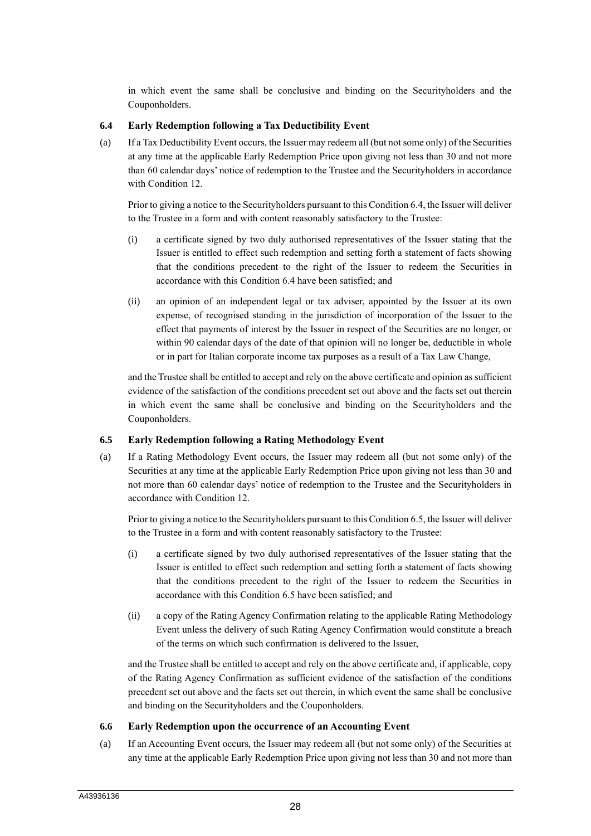in which event the same shall be conclusive and binding on the Securityholders and the Couponholders.

# **6.4 Early Redemption following a Tax Deductibility Event**

(a) If a Tax Deductibility Event occurs, the Issuer may redeem all (but not some only) of the Securities at any time at the applicable Early Redemption Price upon giving not less than 30 and not more than 60 calendar days' notice of redemption to the Trustee and the Securityholders in accordance with Condition 12.

Prior to giving a notice to the Securityholders pursuant to this Condition 6.4, the Issuer will deliver to the Trustee in a form and with content reasonably satisfactory to the Trustee:

- (i) a certificate signed by two duly authorised representatives of the Issuer stating that the Issuer is entitled to effect such redemption and setting forth a statement of facts showing that the conditions precedent to the right of the Issuer to redeem the Securities in accordance with this Condition 6.4 have been satisfied; and
- (ii) an opinion of an independent legal or tax adviser, appointed by the Issuer at its own expense, of recognised standing in the jurisdiction of incorporation of the Issuer to the effect that payments of interest by the Issuer in respect of the Securities are no longer, or within 90 calendar days of the date of that opinion will no longer be, deductible in whole or in part for Italian corporate income tax purposes as a result of a Tax Law Change,

and the Trustee shall be entitled to accept and rely on the above certificate and opinion as sufficient evidence of the satisfaction of the conditions precedent set out above and the facts set out therein in which event the same shall be conclusive and binding on the Securityholders and the Couponholders.

# **6.5 Early Redemption following a Rating Methodology Event**

(a) If a Rating Methodology Event occurs, the Issuer may redeem all (but not some only) of the Securities at any time at the applicable Early Redemption Price upon giving not less than 30 and not more than 60 calendar days' notice of redemption to the Trustee and the Securityholders in accordance with Condition 12.

Prior to giving a notice to the Securityholders pursuant to this Condition 6.5, the Issuer will deliver to the Trustee in a form and with content reasonably satisfactory to the Trustee:

- (i) a certificate signed by two duly authorised representatives of the Issuer stating that the Issuer is entitled to effect such redemption and setting forth a statement of facts showing that the conditions precedent to the right of the Issuer to redeem the Securities in accordance with this Condition 6.5 have been satisfied; and
- (ii) a copy of the Rating Agency Confirmation relating to the applicable Rating Methodology Event unless the delivery of such Rating Agency Confirmation would constitute a breach of the terms on which such confirmation is delivered to the Issuer,

and the Trustee shall be entitled to accept and rely on the above certificate and, if applicable, copy of the Rating Agency Confirmation as sufficient evidence of the satisfaction of the conditions precedent set out above and the facts set out therein, in which event the same shall be conclusive and binding on the Securityholders and the Couponholders.

# **6.6 Early Redemption upon the occurrence of an Accounting Event**

(a) If an Accounting Event occurs, the Issuer may redeem all (but not some only) of the Securities at any time at the applicable Early Redemption Price upon giving not less than 30 and not more than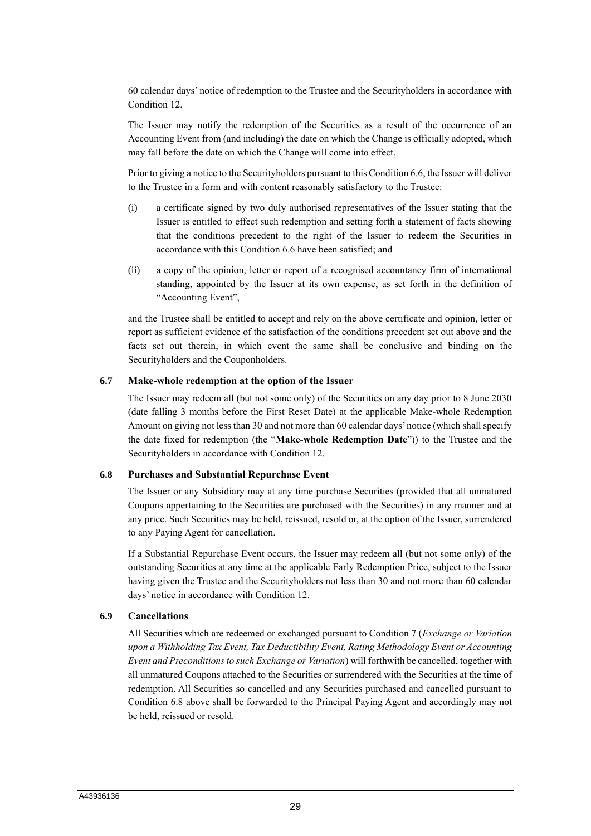60 calendar days' notice of redemption to the Trustee and the Securityholders in accordance with Condition 12.

The Issuer may notify the redemption of the Securities as a result of the occurrence of an Accounting Event from (and including) the date on which the Change is officially adopted, which may fall before the date on which the Change will come into effect.

Prior to giving a notice to the Securityholders pursuant to this Condition 6.6, the Issuer will deliver to the Trustee in a form and with content reasonably satisfactory to the Trustee:

- (i) a certificate signed by two duly authorised representatives of the Issuer stating that the Issuer is entitled to effect such redemption and setting forth a statement of facts showing that the conditions precedent to the right of the Issuer to redeem the Securities in accordance with this Condition 6.6 have been satisfied; and
- (ii) a copy of the opinion, letter or report of a recognised accountancy firm of international standing, appointed by the Issuer at its own expense, as set forth in the definition of "Accounting Event",

and the Trustee shall be entitled to accept and rely on the above certificate and opinion, letter or report as sufficient evidence of the satisfaction of the conditions precedent set out above and the facts set out therein, in which event the same shall be conclusive and binding on the Securityholders and the Couponholders.

#### **6.7 Make-whole redemption at the option of the Issuer**

The Issuer may redeem all (but not some only) of the Securities on any day prior to 8 June 2030 (date falling 3 months before the First Reset Date) at the applicable Make-whole Redemption Amount on giving not less than 30 and not more than 60 calendar days' notice (which shall specify the date fixed for redemption (the "**Make-whole Redemption Date**")) to the Trustee and the Securityholders in accordance with Condition 12.

#### **6.8 Purchases and Substantial Repurchase Event**

The Issuer or any Subsidiary may at any time purchase Securities (provided that all unmatured Coupons appertaining to the Securities are purchased with the Securities) in any manner and at any price. Such Securities may be held, reissued, resold or, at the option of the Issuer, surrendered to any Paying Agent for cancellation.

If a Substantial Repurchase Event occurs, the Issuer may redeem all (but not some only) of the outstanding Securities at any time at the applicable Early Redemption Price, subject to the Issuer having given the Trustee and the Securityholders not less than 30 and not more than 60 calendar days' notice in accordance with Condition 12.

# **6.9 Cancellations**

All Securities which are redeemed or exchanged pursuant to Condition 7 (*Exchange or Variation upon a Withholding Tax Event, Tax Deductibility Event, Rating Methodology Event or Accounting Event and Preconditions to such Exchange or Variation*) will forthwith be cancelled, together with all unmatured Coupons attached to the Securities or surrendered with the Securities at the time of redemption. All Securities so cancelled and any Securities purchased and cancelled pursuant to Condition 6.8 above shall be forwarded to the Principal Paying Agent and accordingly may not be held, reissued or resold.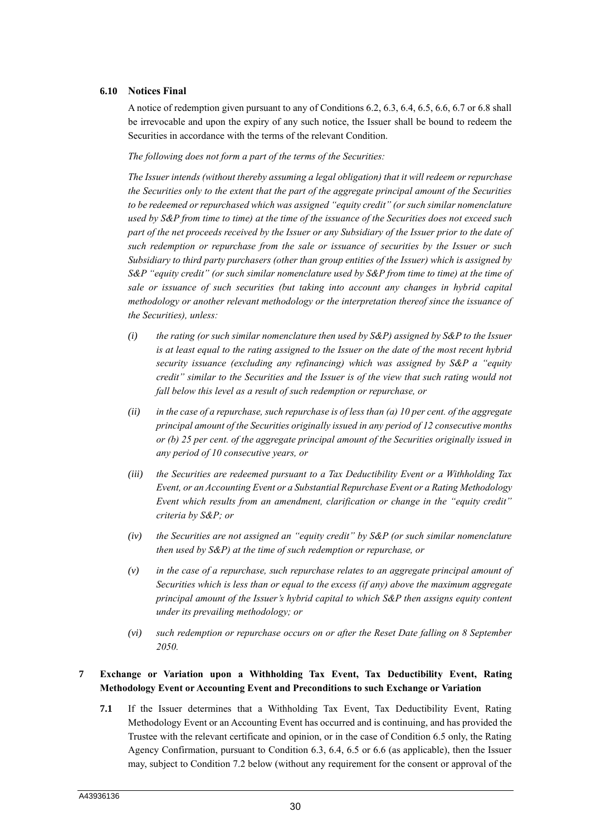#### **6.10 Notices Final**

A notice of redemption given pursuant to any of Conditions 6.2, 6.3, 6.4, 6.5, 6.6, 6.7 or 6.8 shall be irrevocable and upon the expiry of any such notice, the Issuer shall be bound to redeem the Securities in accordance with the terms of the relevant Condition.

*The following does not form a part of the terms of the Securities:*

*The Issuer intends (without thereby assuming a legal obligation) that it will redeem or repurchase the Securities only to the extent that the part of the aggregate principal amount of the Securities to be redeemed or repurchased which was assigned "equity credit" (or such similar nomenclature used by S&P from time to time) at the time of the issuance of the Securities does not exceed such part of the net proceeds received by the Issuer or any Subsidiary of the Issuer prior to the date of such redemption or repurchase from the sale or issuance of securities by the Issuer or such Subsidiary to third party purchasers (other than group entities of the Issuer) which is assigned by S&P "equity credit" (or such similar nomenclature used by S&P from time to time) at the time of sale or issuance of such securities (but taking into account any changes in hybrid capital methodology or another relevant methodology or the interpretation thereof since the issuance of the Securities), unless:*

- *(i) the rating (or such similar nomenclature then used by S&P) assigned by S&P to the Issuer is at least equal to the rating assigned to the Issuer on the date of the most recent hybrid security issuance (excluding any refinancing) which was assigned by S&P a "equity credit" similar to the Securities and the Issuer is of the view that such rating would not fall below this level as a result of such redemption or repurchase, or*
- *(ii) in the case of a repurchase, such repurchase is of less than (a) 10 per cent. of the aggregate principal amount of the Securities originally issued in any period of 12 consecutive months or (b) 25 per cent. of the aggregate principal amount of the Securities originally issued in any period of 10 consecutive years, or*
- *(iii) the Securities are redeemed pursuant to a Tax Deductibility Event or a Withholding Tax Event, or an Accounting Event or a Substantial Repurchase Event or a Rating Methodology Event which results from an amendment, clarification or change in the "equity credit" criteria by S&P; or*
- *(iv) the Securities are not assigned an "equity credit" by S&P (or such similar nomenclature then used by S&P) at the time of such redemption or repurchase, or*
- *(v) in the case of a repurchase, such repurchase relates to an aggregate principal amount of Securities which is less than or equal to the excess (if any) above the maximum aggregate principal amount of the Issuer's hybrid capital to which S&P then assigns equity content under its prevailing methodology; or*
- *(vi) such redemption or repurchase occurs on or after the Reset Date falling on 8 September 2050.*

# **7 Exchange or Variation upon a Withholding Tax Event, Tax Deductibility Event, Rating Methodology Event or Accounting Event and Preconditions to such Exchange or Variation**

**7.1** If the Issuer determines that a Withholding Tax Event, Tax Deductibility Event, Rating Methodology Event or an Accounting Event has occurred and is continuing, and has provided the Trustee with the relevant certificate and opinion, or in the case of Condition 6.5 only, the Rating Agency Confirmation, pursuant to Condition 6.3, 6.4, 6.5 or 6.6 (as applicable), then the Issuer may, subject to Condition 7.2 below (without any requirement for the consent or approval of the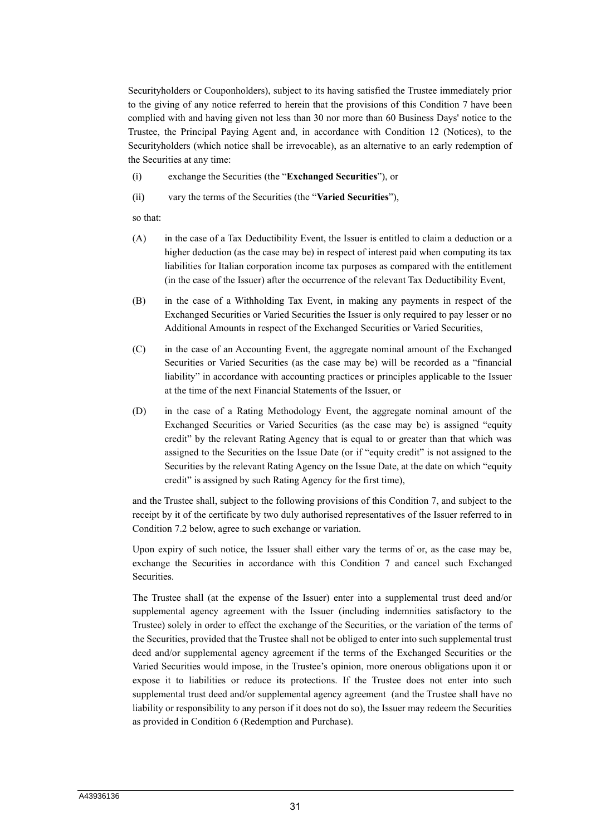Securityholders or Couponholders), subject to its having satisfied the Trustee immediately prior to the giving of any notice referred to herein that the provisions of this Condition 7 have been complied with and having given not less than 30 nor more than 60 Business Days' notice to the Trustee, the Principal Paying Agent and, in accordance with Condition 12 (Notices), to the Securityholders (which notice shall be irrevocable), as an alternative to an early redemption of the Securities at any time:

- (i) exchange the Securities (the "**Exchanged Securities**"), or
- (ii) vary the terms of the Securities (the "**Varied Securities**"),

so that:

- (A) in the case of a Tax Deductibility Event, the Issuer is entitled to claim a deduction or a higher deduction (as the case may be) in respect of interest paid when computing its tax liabilities for Italian corporation income tax purposes as compared with the entitlement (in the case of the Issuer) after the occurrence of the relevant Tax Deductibility Event,
- (B) in the case of a Withholding Tax Event, in making any payments in respect of the Exchanged Securities or Varied Securities the Issuer is only required to pay lesser or no Additional Amounts in respect of the Exchanged Securities or Varied Securities,
- (C) in the case of an Accounting Event, the aggregate nominal amount of the Exchanged Securities or Varied Securities (as the case may be) will be recorded as a "financial liability" in accordance with accounting practices or principles applicable to the Issuer at the time of the next Financial Statements of the Issuer, or
- (D) in the case of a Rating Methodology Event, the aggregate nominal amount of the Exchanged Securities or Varied Securities (as the case may be) is assigned "equity credit" by the relevant Rating Agency that is equal to or greater than that which was assigned to the Securities on the Issue Date (or if "equity credit" is not assigned to the Securities by the relevant Rating Agency on the Issue Date, at the date on which "equity credit" is assigned by such Rating Agency for the first time),

and the Trustee shall, subject to the following provisions of this Condition 7, and subject to the receipt by it of the certificate by two duly authorised representatives of the Issuer referred to in Condition 7.2 below, agree to such exchange or variation.

Upon expiry of such notice, the Issuer shall either vary the terms of or, as the case may be, exchange the Securities in accordance with this Condition 7 and cancel such Exchanged Securities.

The Trustee shall (at the expense of the Issuer) enter into a supplemental trust deed and/or supplemental agency agreement with the Issuer (including indemnities satisfactory to the Trustee) solely in order to effect the exchange of the Securities, or the variation of the terms of the Securities, provided that the Trustee shall not be obliged to enter into such supplemental trust deed and/or supplemental agency agreement if the terms of the Exchanged Securities or the Varied Securities would impose, in the Trustee's opinion, more onerous obligations upon it or expose it to liabilities or reduce its protections. If the Trustee does not enter into such supplemental trust deed and/or supplemental agency agreement (and the Trustee shall have no liability or responsibility to any person if it does not do so), the Issuer may redeem the Securities as provided in Condition 6 (Redemption and Purchase).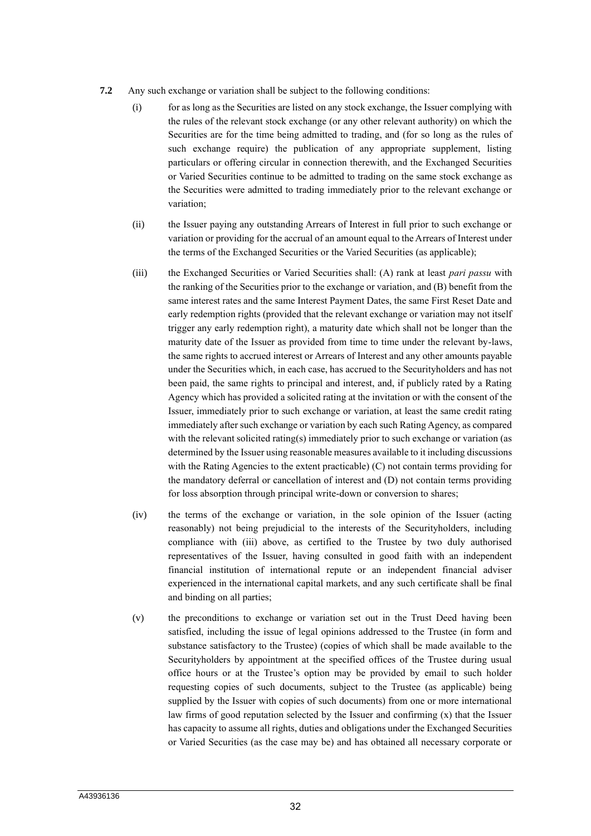- **7.2** Any such exchange or variation shall be subject to the following conditions:
	- (i) for as long as the Securities are listed on any stock exchange, the Issuer complying with the rules of the relevant stock exchange (or any other relevant authority) on which the Securities are for the time being admitted to trading, and (for so long as the rules of such exchange require) the publication of any appropriate supplement, listing particulars or offering circular in connection therewith, and the Exchanged Securities or Varied Securities continue to be admitted to trading on the same stock exchange as the Securities were admitted to trading immediately prior to the relevant exchange or variation;
	- (ii) the Issuer paying any outstanding Arrears of Interest in full prior to such exchange or variation or providing for the accrual of an amount equal to the Arrears of Interest under the terms of the Exchanged Securities or the Varied Securities (as applicable);
	- (iii) the Exchanged Securities or Varied Securities shall: (A) rank at least *pari passu* with the ranking of the Securities prior to the exchange or variation, and (B) benefit from the same interest rates and the same Interest Payment Dates, the same First Reset Date and early redemption rights (provided that the relevant exchange or variation may not itself trigger any early redemption right), a maturity date which shall not be longer than the maturity date of the Issuer as provided from time to time under the relevant by-laws, the same rights to accrued interest or Arrears of Interest and any other amounts payable under the Securities which, in each case, has accrued to the Securityholders and has not been paid, the same rights to principal and interest, and, if publicly rated by a Rating Agency which has provided a solicited rating at the invitation or with the consent of the Issuer, immediately prior to such exchange or variation, at least the same credit rating immediately after such exchange or variation by each such Rating Agency, as compared with the relevant solicited rating(s) immediately prior to such exchange or variation (as determined by the Issuer using reasonable measures available to it including discussions with the Rating Agencies to the extent practicable) (C) not contain terms providing for the mandatory deferral or cancellation of interest and (D) not contain terms providing for loss absorption through principal write-down or conversion to shares;
	- (iv) the terms of the exchange or variation, in the sole opinion of the Issuer (acting reasonably) not being prejudicial to the interests of the Securityholders, including compliance with (iii) above, as certified to the Trustee by two duly authorised representatives of the Issuer, having consulted in good faith with an independent financial institution of international repute or an independent financial adviser experienced in the international capital markets, and any such certificate shall be final and binding on all parties;
	- (v) the preconditions to exchange or variation set out in the Trust Deed having been satisfied, including the issue of legal opinions addressed to the Trustee (in form and substance satisfactory to the Trustee) (copies of which shall be made available to the Securityholders by appointment at the specified offices of the Trustee during usual office hours or at the Trustee's option may be provided by email to such holder requesting copies of such documents, subject to the Trustee (as applicable) being supplied by the Issuer with copies of such documents) from one or more international law firms of good reputation selected by the Issuer and confirming (x) that the Issuer has capacity to assume all rights, duties and obligations under the Exchanged Securities or Varied Securities (as the case may be) and has obtained all necessary corporate or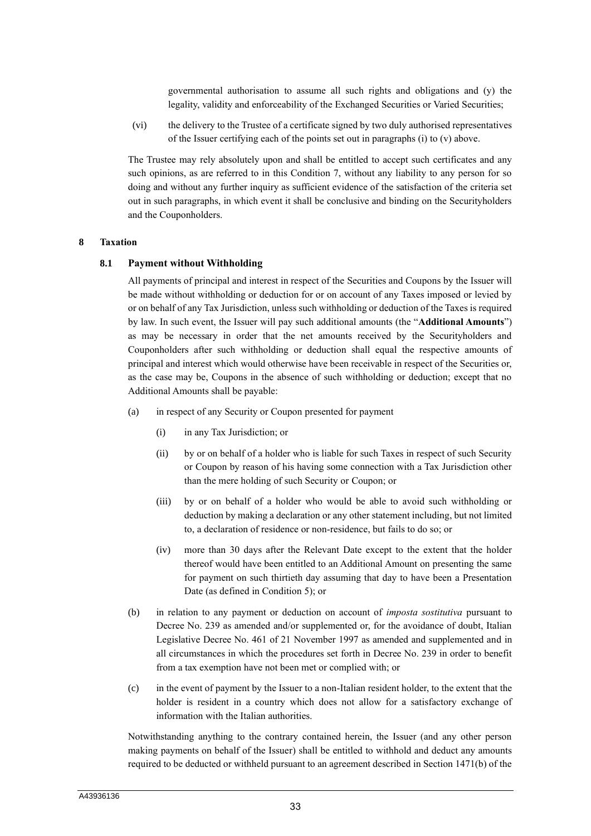governmental authorisation to assume all such rights and obligations and (y) the legality, validity and enforceability of the Exchanged Securities or Varied Securities;

(vi) the delivery to the Trustee of a certificate signed by two duly authorised representatives of the Issuer certifying each of the points set out in paragraphs (i) to (v) above.

The Trustee may rely absolutely upon and shall be entitled to accept such certificates and any such opinions, as are referred to in this Condition 7, without any liability to any person for so doing and without any further inquiry as sufficient evidence of the satisfaction of the criteria set out in such paragraphs, in which event it shall be conclusive and binding on the Securityholders and the Couponholders.

#### **8 Taxation**

#### **8.1 Payment without Withholding**

All payments of principal and interest in respect of the Securities and Coupons by the Issuer will be made without withholding or deduction for or on account of any Taxes imposed or levied by or on behalf of any Tax Jurisdiction, unless such withholding or deduction of the Taxes is required by law. In such event, the Issuer will pay such additional amounts (the "**Additional Amounts**") as may be necessary in order that the net amounts received by the Securityholders and Couponholders after such withholding or deduction shall equal the respective amounts of principal and interest which would otherwise have been receivable in respect of the Securities or, as the case may be, Coupons in the absence of such withholding or deduction; except that no Additional Amounts shall be payable:

- (a) in respect of any Security or Coupon presented for payment
	- (i) in any Tax Jurisdiction; or
	- (ii) by or on behalf of a holder who is liable for such Taxes in respect of such Security or Coupon by reason of his having some connection with a Tax Jurisdiction other than the mere holding of such Security or Coupon; or
	- (iii) by or on behalf of a holder who would be able to avoid such withholding or deduction by making a declaration or any other statement including, but not limited to, a declaration of residence or non-residence, but fails to do so; or
	- (iv) more than 30 days after the Relevant Date except to the extent that the holder thereof would have been entitled to an Additional Amount on presenting the same for payment on such thirtieth day assuming that day to have been a Presentation Date (as defined in Condition 5); or
- (b) in relation to any payment or deduction on account of *imposta sostitutiva* pursuant to Decree No. 239 as amended and/or supplemented or, for the avoidance of doubt, Italian Legislative Decree No. 461 of 21 November 1997 as amended and supplemented and in all circumstances in which the procedures set forth in Decree No. 239 in order to benefit from a tax exemption have not been met or complied with; or
- (c) in the event of payment by the Issuer to a non-Italian resident holder, to the extent that the holder is resident in a country which does not allow for a satisfactory exchange of information with the Italian authorities.

Notwithstanding anything to the contrary contained herein, the Issuer (and any other person making payments on behalf of the Issuer) shall be entitled to withhold and deduct any amounts required to be deducted or withheld pursuant to an agreement described in Section 1471(b) of the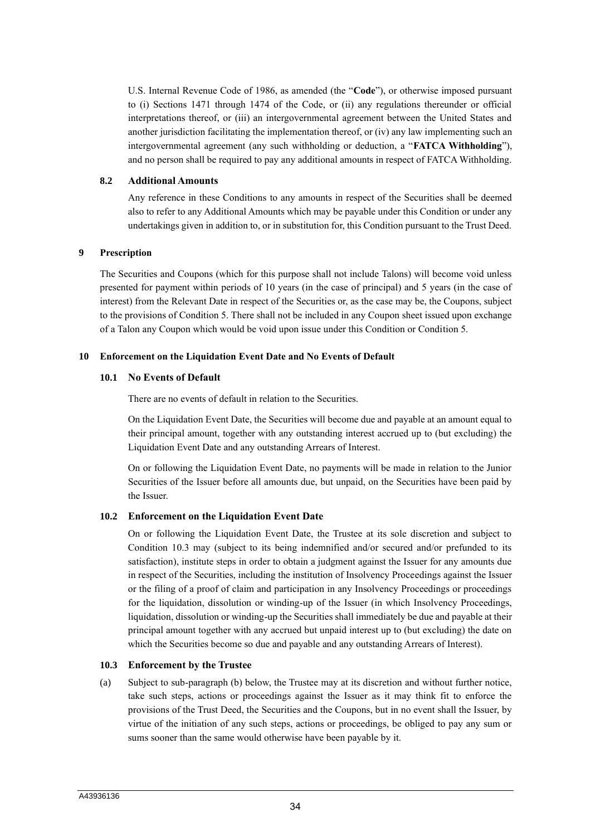U.S. Internal Revenue Code of 1986, as amended (the "**Code**"), or otherwise imposed pursuant to (i) Sections 1471 through 1474 of the Code, or (ii) any regulations thereunder or official interpretations thereof, or (iii) an intergovernmental agreement between the United States and another jurisdiction facilitating the implementation thereof, or (iv) any law implementing such an intergovernmental agreement (any such withholding or deduction, a "**FATCA Withholding**"), and no person shall be required to pay any additional amounts in respect of FATCA Withholding.

#### **8.2 Additional Amounts**

Any reference in these Conditions to any amounts in respect of the Securities shall be deemed also to refer to any Additional Amounts which may be payable under this Condition or under any undertakings given in addition to, or in substitution for, this Condition pursuant to the Trust Deed.

#### **9 Prescription**

The Securities and Coupons (which for this purpose shall not include Talons) will become void unless presented for payment within periods of 10 years (in the case of principal) and 5 years (in the case of interest) from the Relevant Date in respect of the Securities or, as the case may be, the Coupons, subject to the provisions of Condition 5. There shall not be included in any Coupon sheet issued upon exchange of a Talon any Coupon which would be void upon issue under this Condition or Condition 5.

#### **10 Enforcement on the Liquidation Event Date and No Events of Default**

#### **10.1 No Events of Default**

There are no events of default in relation to the Securities.

On the Liquidation Event Date, the Securities will become due and payable at an amount equal to their principal amount, together with any outstanding interest accrued up to (but excluding) the Liquidation Event Date and any outstanding Arrears of Interest.

On or following the Liquidation Event Date, no payments will be made in relation to the Junior Securities of the Issuer before all amounts due, but unpaid, on the Securities have been paid by the Issuer.

# **10.2 Enforcement on the Liquidation Event Date**

On or following the Liquidation Event Date, the Trustee at its sole discretion and subject to Condition 10.3 may (subject to its being indemnified and/or secured and/or prefunded to its satisfaction), institute steps in order to obtain a judgment against the Issuer for any amounts due in respect of the Securities, including the institution of Insolvency Proceedings against the Issuer or the filing of a proof of claim and participation in any Insolvency Proceedings or proceedings for the liquidation, dissolution or winding-up of the Issuer (in which Insolvency Proceedings, liquidation, dissolution or winding-up the Securities shall immediately be due and payable at their principal amount together with any accrued but unpaid interest up to (but excluding) the date on which the Securities become so due and payable and any outstanding Arrears of Interest).

#### **10.3 Enforcement by the Trustee**

(a) Subject to sub-paragraph (b) below, the Trustee may at its discretion and without further notice, take such steps, actions or proceedings against the Issuer as it may think fit to enforce the provisions of the Trust Deed, the Securities and the Coupons, but in no event shall the Issuer, by virtue of the initiation of any such steps, actions or proceedings, be obliged to pay any sum or sums sooner than the same would otherwise have been payable by it.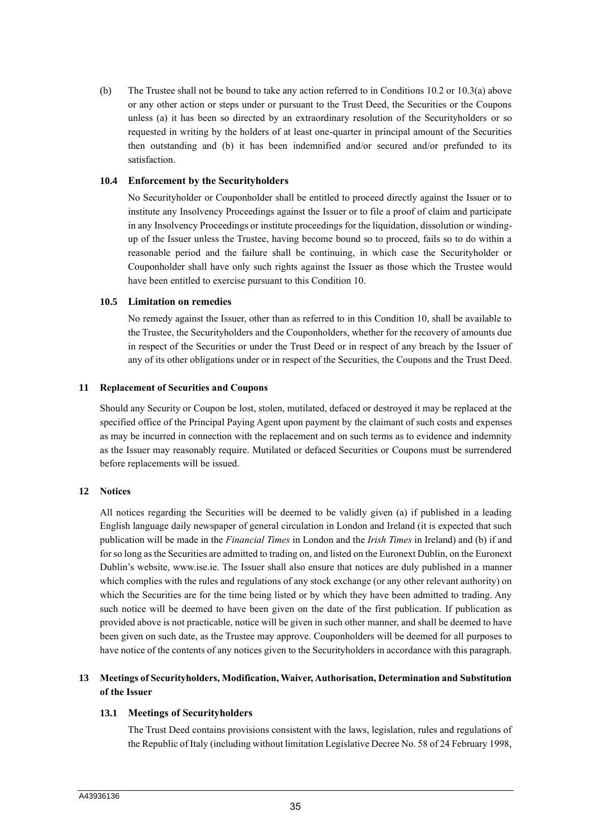(b) The Trustee shall not be bound to take any action referred to in Conditions 10.2 or 10.3(a) above or any other action or steps under or pursuant to the Trust Deed, the Securities or the Coupons unless (a) it has been so directed by an extraordinary resolution of the Securityholders or so requested in writing by the holders of at least one-quarter in principal amount of the Securities then outstanding and (b) it has been indemnified and/or secured and/or prefunded to its satisfaction.

# **10.4 Enforcement by the Securityholders**

No Securityholder or Couponholder shall be entitled to proceed directly against the Issuer or to institute any Insolvency Proceedings against the Issuer or to file a proof of claim and participate in any Insolvency Proceedings or institute proceedings for the liquidation, dissolution or windingup of the Issuer unless the Trustee, having become bound so to proceed, fails so to do within a reasonable period and the failure shall be continuing, in which case the Securityholder or Couponholder shall have only such rights against the Issuer as those which the Trustee would have been entitled to exercise pursuant to this Condition 10.

#### **10.5 Limitation on remedies**

No remedy against the Issuer, other than as referred to in this Condition 10, shall be available to the Trustee, the Securityholders and the Couponholders, whether for the recovery of amounts due in respect of the Securities or under the Trust Deed or in respect of any breach by the Issuer of any of its other obligations under or in respect of the Securities, the Coupons and the Trust Deed.

#### **11 Replacement of Securities and Coupons**

Should any Security or Coupon be lost, stolen, mutilated, defaced or destroyed it may be replaced at the specified office of the Principal Paying Agent upon payment by the claimant of such costs and expenses as may be incurred in connection with the replacement and on such terms as to evidence and indemnity as the Issuer may reasonably require. Mutilated or defaced Securities or Coupons must be surrendered before replacements will be issued.

# **12 Notices**

All notices regarding the Securities will be deemed to be validly given (a) if published in a leading English language daily newspaper of general circulation in London and Ireland (it is expected that such publication will be made in the *Financial Times* in London and the *Irish Times* in Ireland) and (b) if and for so long as the Securities are admitted to trading on, and listed on the Euronext Dublin, on the Euronext Dublin's website, www.ise.ie. The Issuer shall also ensure that notices are duly published in a manner which complies with the rules and regulations of any stock exchange (or any other relevant authority) on which the Securities are for the time being listed or by which they have been admitted to trading. Any such notice will be deemed to have been given on the date of the first publication. If publication as provided above is not practicable, notice will be given in such other manner, and shall be deemed to have been given on such date, as the Trustee may approve. Couponholders will be deemed for all purposes to have notice of the contents of any notices given to the Securityholders in accordance with this paragraph.

# **13 Meetings of Securityholders, Modification, Waiver, Authorisation, Determination and Substitution of the Issuer**

# **13.1 Meetings of Securityholders**

The Trust Deed contains provisions consistent with the laws, legislation, rules and regulations of the Republic of Italy (including without limitation Legislative Decree No. 58 of 24 February 1998,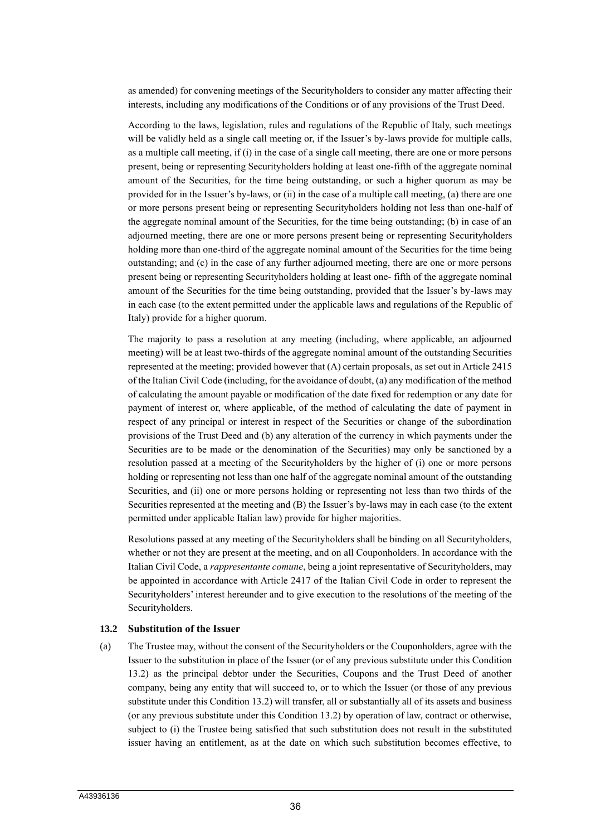as amended) for convening meetings of the Securityholders to consider any matter affecting their interests, including any modifications of the Conditions or of any provisions of the Trust Deed.

According to the laws, legislation, rules and regulations of the Republic of Italy, such meetings will be validly held as a single call meeting or, if the Issuer's by-laws provide for multiple calls, as a multiple call meeting, if (i) in the case of a single call meeting, there are one or more persons present, being or representing Securityholders holding at least one-fifth of the aggregate nominal amount of the Securities, for the time being outstanding, or such a higher quorum as may be provided for in the Issuer's by-laws, or (ii) in the case of a multiple call meeting, (a) there are one or more persons present being or representing Securityholders holding not less than one-half of the aggregate nominal amount of the Securities, for the time being outstanding; (b) in case of an adjourned meeting, there are one or more persons present being or representing Securityholders holding more than one-third of the aggregate nominal amount of the Securities for the time being outstanding; and (c) in the case of any further adjourned meeting, there are one or more persons present being or representing Securityholders holding at least one- fifth of the aggregate nominal amount of the Securities for the time being outstanding, provided that the Issuer's by-laws may in each case (to the extent permitted under the applicable laws and regulations of the Republic of Italy) provide for a higher quorum.

The majority to pass a resolution at any meeting (including, where applicable, an adjourned meeting) will be at least two-thirds of the aggregate nominal amount of the outstanding Securities represented at the meeting; provided however that (A) certain proposals, as set out in Article 2415 of the Italian Civil Code (including, for the avoidance of doubt, (a) any modification of the method of calculating the amount payable or modification of the date fixed for redemption or any date for payment of interest or, where applicable, of the method of calculating the date of payment in respect of any principal or interest in respect of the Securities or change of the subordination provisions of the Trust Deed and (b) any alteration of the currency in which payments under the Securities are to be made or the denomination of the Securities) may only be sanctioned by a resolution passed at a meeting of the Securityholders by the higher of (i) one or more persons holding or representing not less than one half of the aggregate nominal amount of the outstanding Securities, and (ii) one or more persons holding or representing not less than two thirds of the Securities represented at the meeting and (B) the Issuer's by-laws may in each case (to the extent permitted under applicable Italian law) provide for higher majorities.

Resolutions passed at any meeting of the Securityholders shall be binding on all Securityholders, whether or not they are present at the meeting, and on all Couponholders. In accordance with the Italian Civil Code, a *rappresentante comune*, being a joint representative of Securityholders, may be appointed in accordance with Article 2417 of the Italian Civil Code in order to represent the Securityholders' interest hereunder and to give execution to the resolutions of the meeting of the Securityholders.

#### **13.2 Substitution of the Issuer**

(a) The Trustee may, without the consent of the Securityholders or the Couponholders, agree with the Issuer to the substitution in place of the Issuer (or of any previous substitute under this Condition 13.2) as the principal debtor under the Securities, Coupons and the Trust Deed of another company, being any entity that will succeed to, or to which the Issuer (or those of any previous substitute under this Condition 13.2) will transfer, all or substantially all of its assets and business (or any previous substitute under this Condition 13.2) by operation of law, contract or otherwise, subject to (i) the Trustee being satisfied that such substitution does not result in the substituted issuer having an entitlement, as at the date on which such substitution becomes effective, to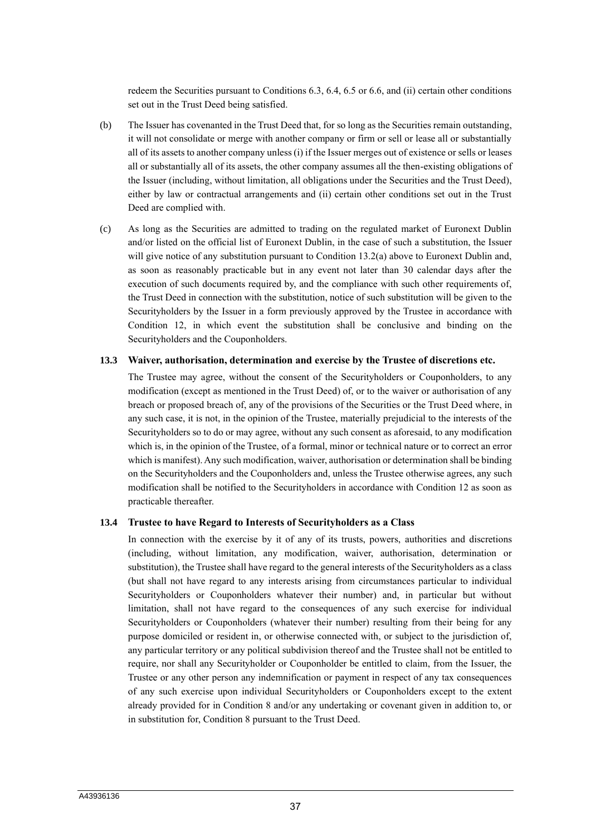redeem the Securities pursuant to Conditions 6.3, 6.4, 6.5 or 6.6, and (ii) certain other conditions set out in the Trust Deed being satisfied.

- (b) The Issuer has covenanted in the Trust Deed that, for so long as the Securities remain outstanding, it will not consolidate or merge with another company or firm or sell or lease all or substantially all of its assets to another company unless (i) if the Issuer merges out of existence or sells or leases all or substantially all of its assets, the other company assumes all the then-existing obligations of the Issuer (including, without limitation, all obligations under the Securities and the Trust Deed), either by law or contractual arrangements and (ii) certain other conditions set out in the Trust Deed are complied with.
- (c) As long as the Securities are admitted to trading on the regulated market of Euronext Dublin and/or listed on the official list of Euronext Dublin, in the case of such a substitution, the Issuer will give notice of any substitution pursuant to Condition 13.2(a) above to Euronext Dublin and, as soon as reasonably practicable but in any event not later than 30 calendar days after the execution of such documents required by, and the compliance with such other requirements of, the Trust Deed in connection with the substitution, notice of such substitution will be given to the Securityholders by the Issuer in a form previously approved by the Trustee in accordance with Condition 12, in which event the substitution shall be conclusive and binding on the Securityholders and the Couponholders.

#### **13.3 Waiver, authorisation, determination and exercise by the Trustee of discretions etc.**

The Trustee may agree, without the consent of the Securityholders or Couponholders, to any modification (except as mentioned in the Trust Deed) of, or to the waiver or authorisation of any breach or proposed breach of, any of the provisions of the Securities or the Trust Deed where, in any such case, it is not, in the opinion of the Trustee, materially prejudicial to the interests of the Securityholders so to do or may agree, without any such consent as aforesaid, to any modification which is, in the opinion of the Trustee, of a formal, minor or technical nature or to correct an error which is manifest). Any such modification, waiver, authorisation or determination shall be binding on the Securityholders and the Couponholders and, unless the Trustee otherwise agrees, any such modification shall be notified to the Securityholders in accordance with Condition 12 as soon as practicable thereafter.

#### **13.4 Trustee to have Regard to Interests of Securityholders as a Class**

In connection with the exercise by it of any of its trusts, powers, authorities and discretions (including, without limitation, any modification, waiver, authorisation, determination or substitution), the Trustee shall have regard to the general interests of the Securityholders as a class (but shall not have regard to any interests arising from circumstances particular to individual Securityholders or Couponholders whatever their number) and, in particular but without limitation, shall not have regard to the consequences of any such exercise for individual Securityholders or Couponholders (whatever their number) resulting from their being for any purpose domiciled or resident in, or otherwise connected with, or subject to the jurisdiction of, any particular territory or any political subdivision thereof and the Trustee shall not be entitled to require, nor shall any Securityholder or Couponholder be entitled to claim, from the Issuer, the Trustee or any other person any indemnification or payment in respect of any tax consequences of any such exercise upon individual Securityholders or Couponholders except to the extent already provided for in Condition 8 and/or any undertaking or covenant given in addition to, or in substitution for, Condition 8 pursuant to the Trust Deed.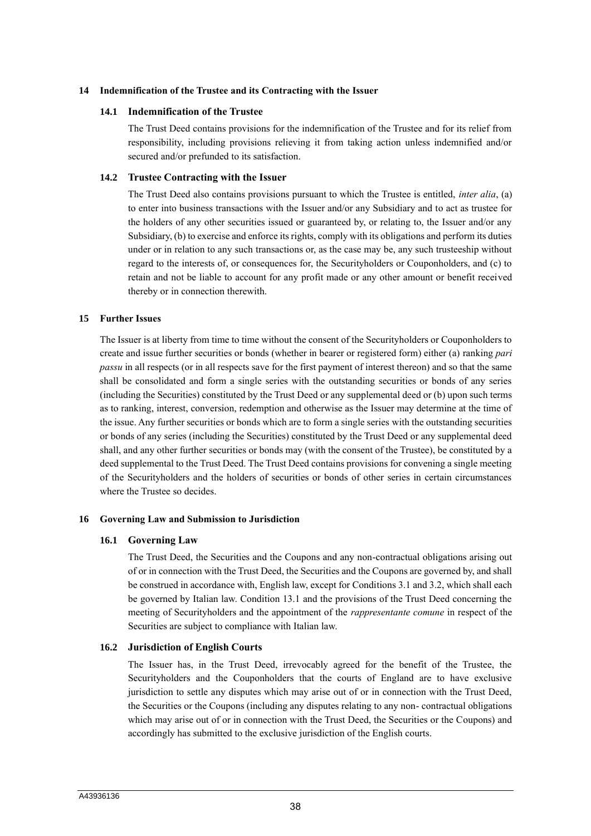#### **14 Indemnification of the Trustee and its Contracting with the Issuer**

#### **14.1 Indemnification of the Trustee**

The Trust Deed contains provisions for the indemnification of the Trustee and for its relief from responsibility, including provisions relieving it from taking action unless indemnified and/or secured and/or prefunded to its satisfaction.

#### **14.2 Trustee Contracting with the Issuer**

The Trust Deed also contains provisions pursuant to which the Trustee is entitled, *inter alia*, (a) to enter into business transactions with the Issuer and/or any Subsidiary and to act as trustee for the holders of any other securities issued or guaranteed by, or relating to, the Issuer and/or any Subsidiary, (b) to exercise and enforce its rights, comply with its obligations and perform its duties under or in relation to any such transactions or, as the case may be, any such trusteeship without regard to the interests of, or consequences for, the Securityholders or Couponholders, and (c) to retain and not be liable to account for any profit made or any other amount or benefit received thereby or in connection therewith.

#### **15 Further Issues**

The Issuer is at liberty from time to time without the consent of the Securityholders or Couponholders to create and issue further securities or bonds (whether in bearer or registered form) either (a) ranking *pari passu* in all respects (or in all respects save for the first payment of interest thereon) and so that the same shall be consolidated and form a single series with the outstanding securities or bonds of any series (including the Securities) constituted by the Trust Deed or any supplemental deed or (b) upon such terms as to ranking, interest, conversion, redemption and otherwise as the Issuer may determine at the time of the issue. Any further securities or bonds which are to form a single series with the outstanding securities or bonds of any series (including the Securities) constituted by the Trust Deed or any supplemental deed shall, and any other further securities or bonds may (with the consent of the Trustee), be constituted by a deed supplemental to the Trust Deed. The Trust Deed contains provisions for convening a single meeting of the Securityholders and the holders of securities or bonds of other series in certain circumstances where the Trustee so decides.

## **16 Governing Law and Submission to Jurisdiction**

#### **16.1 Governing Law**

The Trust Deed, the Securities and the Coupons and any non-contractual obligations arising out of or in connection with the Trust Deed, the Securities and the Coupons are governed by, and shall be construed in accordance with, English law, except for Conditions 3.1 and 3.2, which shall each be governed by Italian law. Condition 13.1 and the provisions of the Trust Deed concerning the meeting of Securityholders and the appointment of the *rappresentante comune* in respect of the Securities are subject to compliance with Italian law.

#### **16.2 Jurisdiction of English Courts**

The Issuer has, in the Trust Deed, irrevocably agreed for the benefit of the Trustee, the Securityholders and the Couponholders that the courts of England are to have exclusive jurisdiction to settle any disputes which may arise out of or in connection with the Trust Deed, the Securities or the Coupons (including any disputes relating to any non- contractual obligations which may arise out of or in connection with the Trust Deed, the Securities or the Coupons) and accordingly has submitted to the exclusive jurisdiction of the English courts.